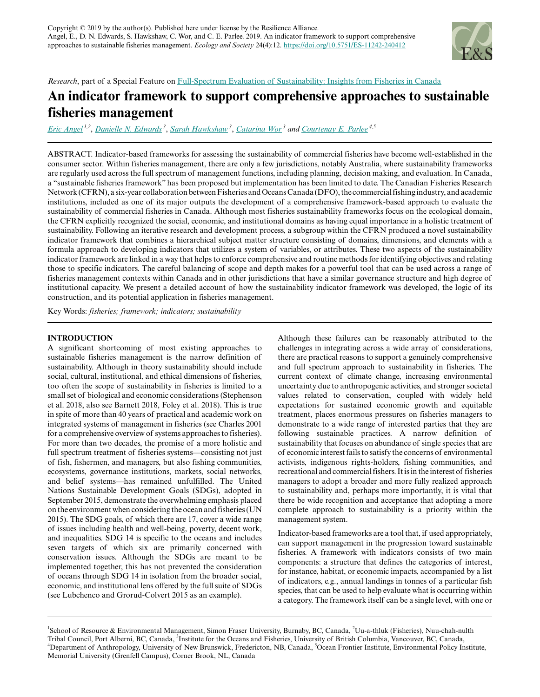

# *Research*, part of a Special Feature on [Full-Spectrum Evaluation of Sustainability: Insights from Fisheries in Canada](https://www.ecologyandsociety.org/viewissue.php?sf=132)

# **An indicator framework to support comprehensive approaches to sustainable fisheries management**

*[Eric Angel](mailto:ericdavidangel@gmail.com) 1,2* , *[Danielle N. Edwards](mailto:d.edwards@oceans.ubc.ca)<sup>3</sup>* , *[Sarah Hawkshaw](mailto:s.hawkshaw@oceans.ubc.ca)<sup>3</sup>* , *[Catarina Wor](mailto:Catarinawor@gmail.com)<sup>3</sup> and [Courtenay E. Parlee](mailto:cparlee@mun.ca) 4,5*

ABSTRACT. Indicator-based frameworks for assessing the sustainability of commercial fisheries have become well-established in the consumer sector. Within fisheries management, there are only a few jurisdictions, notably Australia, where sustainability frameworks are regularly used across the full spectrum of management functions, including planning, decision making, and evaluation. In Canada, a "sustainable fisheries framework" has been proposed but implementation has been limited to date. The Canadian Fisheries Research Network (CFRN), a six-year collaboration between Fisheries and Oceans Canada (DFO), the commercial fishing industry, and academic institutions, included as one of its major outputs the development of a comprehensive framework-based approach to evaluate the sustainability of commercial fisheries in Canada. Although most fisheries sustainability frameworks focus on the ecological domain, the CFRN explicitly recognized the social, economic, and institutional domains as having equal importance in a holistic treatment of sustainability. Following an iterative research and development process, a subgroup within the CFRN produced a novel sustainability indicator framework that combines a hierarchical subject matter structure consisting of domains, dimensions, and elements with a formula approach to developing indicators that utilizes a system of variables, or attributes. These two aspects of the sustainability indicator framework are linked in a way that helps to enforce comprehensive and routine methods for identifying objectives and relating those to specific indicators. The careful balancing of scope and depth makes for a powerful tool that can be used across a range of fisheries management contexts within Canada and in other jurisdictions that have a similar governance structure and high degree of institutional capacity. We present a detailed account of how the sustainability indicator framework was developed, the logic of its construction, and its potential application in fisheries management.

Key Words: *fisheries; framework; indicators; sustainability*

# **INTRODUCTION**

A significant shortcoming of most existing approaches to sustainable fisheries management is the narrow definition of sustainability. Although in theory sustainability should include social, cultural, institutional, and ethical dimensions of fisheries, too often the scope of sustainability in fisheries is limited to a small set of biological and economic considerations (Stephenson et al. 2018, also see Barnett 2018, Foley et al. 2018). This is true in spite of more than 40 years of practical and academic work on integrated systems of management in fisheries (see Charles 2001 for a comprehensive overview of systems approaches to fisheries). For more than two decades, the promise of a more holistic and full spectrum treatment of fisheries systems—consisting not just of fish, fishermen, and managers, but also fishing communities, ecosystems, governance institutions, markets, social networks, and belief systems—has remained unfulfilled. The United Nations Sustainable Development Goals (SDGs), adopted in September 2015, demonstrate the overwhelming emphasis placed on the environment when considering the ocean and fisheries (UN 2015). The SDG goals, of which there are 17, cover a wide range of issues including health and well-being, poverty, decent work, and inequalities. SDG 14 is specific to the oceans and includes seven targets of which six are primarily concerned with conservation issues. Although the SDGs are meant to be implemented together, this has not prevented the consideration of oceans through SDG 14 in isolation from the broader social, economic, and institutional lens offered by the full suite of SDGs (see Lubchenco and Grorud-Colvert 2015 as an example).

Although these failures can be reasonably attributed to the challenges in integrating across a wide array of considerations, there are practical reasons to support a genuinely comprehensive and full spectrum approach to sustainability in fisheries. The current context of climate change, increasing environmental uncertainty due to anthropogenic activities, and stronger societal values related to conservation, coupled with widely held expectations for sustained economic growth and equitable treatment, places enormous pressures on fisheries managers to demonstrate to a wide range of interested parties that they are following sustainable practices. A narrow definition of sustainability that focuses on abundance of single species that are of economic interest fails to satisfy the concerns of environmental activists, indigenous rights-holders, fishing communities, and recreational and commercial fishers. It is in the interest of fisheries managers to adopt a broader and more fully realized approach to sustainability and, perhaps more importantly, it is vital that there be wide recognition and acceptance that adopting a more complete approach to sustainability is a priority within the management system.

Indicator-based frameworks are a tool that, if used appropriately, can support management in the progression toward sustainable fisheries. A framework with indicators consists of two main components: a structure that defines the categories of interest, for instance, habitat, or economic impacts, accompanied by a list of indicators, e.g., annual landings in tonnes of a particular fish species, that can be used to help evaluate what is occurring within a category. The framework itself can be a single level, with one or

<sup>1</sup> School of Resource & Environmental Management, Simon Fraser University, Burnaby, BC, Canada, <sup>2</sup>Uu-a-thluk (Fisheries), Nuu-chah-nulth Tribal Council, Port Alberni, BC, Canada, <sup>3</sup>Institute for the Oceans and Fisheries, University of British Columbia, Vancouver, BC, Canada, <sup>4</sup>Department of Anthropology, University of New Brunswick, Fredericton, NB, Canada, <sup>5</sup>Ocean Frontier Institute, Environmental Policy Institute, Memorial University (Grenfell Campus), Corner Brook, NL, Canada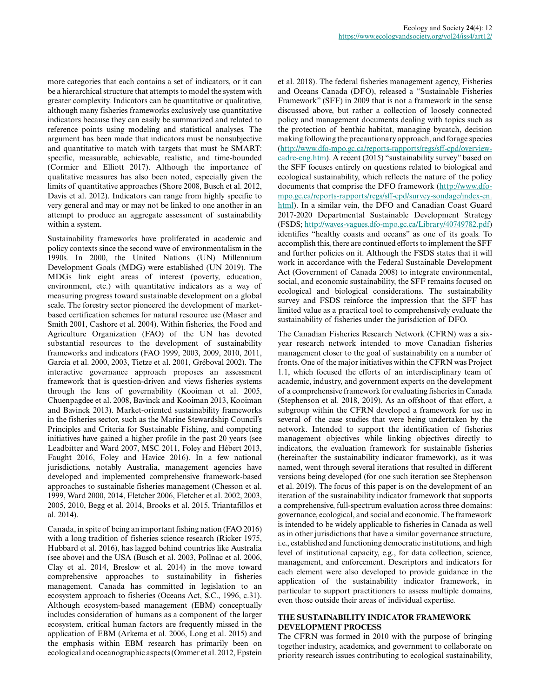more categories that each contains a set of indicators, or it can be a hierarchical structure that attempts to model the system with greater complexity. Indicators can be quantitative or qualitative, although many fisheries frameworks exclusively use quantitative indicators because they can easily be summarized and related to reference points using modeling and statistical analyses. The argument has been made that indicators must be nonsubjective and quantitative to match with targets that must be SMART: specific, measurable, achievable, realistic, and time-bounded (Cormier and Elliott 2017). Although the importance of qualitative measures has also been noted, especially given the limits of quantitative approaches (Shore 2008, Busch et al. 2012, Davis et al. 2012). Indicators can range from highly specific to very general and may or may not be linked to one another in an attempt to produce an aggregate assessment of sustainability within a system.

Sustainability frameworks have proliferated in academic and policy contexts since the second wave of environmentalism in the 1990s. In 2000, the United Nations (UN) Millennium Development Goals (MDG) were established (UN 2019). The MDGs link eight areas of interest (poverty, education, environment, etc.) with quantitative indicators as a way of measuring progress toward sustainable development on a global scale. The forestry sector pioneered the development of marketbased certification schemes for natural resource use (Maser and Smith 2001, Cashore et al. 2004). Within fisheries, the Food and Agriculture Organization (FAO) of the UN has devoted substantial resources to the development of sustainability frameworks and indicators (FAO 1999, 2003, 2009, 2010, 2011, Garcia et al. 2000, 2003, Tietze et al. 2001, Gréboval 2002). The interactive governance approach proposes an assessment framework that is question-driven and views fisheries systems through the lens of governability (Kooiman et al. 2005, Chuenpagdee et al. 2008, Bavinck and Kooiman 2013, Kooiman and Bavinck 2013). Market-oriented sustainability frameworks in the fisheries sector, such as the Marine Stewardship Council's Principles and Criteria for Sustainable Fishing, and competing initiatives have gained a higher profile in the past 20 years (see Leadbitter and Ward 2007, MSC 2011, Foley and Hébert 2013, Faught 2016, Foley and Havice 2016). In a few national jurisdictions, notably Australia, management agencies have developed and implemented comprehensive framework-based approaches to sustainable fisheries management (Chesson et al. 1999, Ward 2000, 2014, Fletcher 2006, Fletcher et al. 2002, 2003, 2005, 2010, Begg et al. 2014, Brooks et al. 2015, Triantafillos et al. 2014).

Canada, in spite of being an important fishing nation (FAO 2016) with a long tradition of fisheries science research (Ricker 1975, Hubbard et al. 2016), has lagged behind countries like Australia (see above) and the USA (Busch et al. 2003, Pollnac et al. 2006, Clay et al. 2014, Breslow et al. 2014) in the move toward comprehensive approaches to sustainability in fisheries management. Canada has committed in legislation to an ecosystem approach to fisheries (Oceans Act, S.C., 1996, c.31). Although ecosystem-based management (EBM) conceptually includes consideration of humans as a component of the larger ecosystem, critical human factors are frequently missed in the application of EBM (Arkema et al. 2006, Long et al. 2015) and the emphasis within EBM research has primarily been on ecological and oceanographic aspects (Ommer et al. 2012, Epstein et al. 2018). The federal fisheries management agency, Fisheries and Oceans Canada (DFO), released a "Sustainable Fisheries Framework" (SFF) in 2009 that is not a framework in the sense discussed above, but rather a collection of loosely connected policy and management documents dealing with topics such as the protection of benthic habitat, managing bycatch, decision making following the precautionary approach, and forage species ([http://www.dfo-mpo.gc.ca/reports-rapports/regs/sff-cpd/overview](http://www.dfo-mpo.gc.ca/reports-rapports/regs/sff-cpd/overview-cadre-eng.htm)[cadre-eng.htm\)](http://www.dfo-mpo.gc.ca/reports-rapports/regs/sff-cpd/overview-cadre-eng.htm). A recent (2015) "sustainability survey" based on the SFF focuses entirely on questions related to biological and ecological sustainability, which reflects the nature of the policy documents that comprise the DFO framework [\(http://www.dfo](http://www.dfo-mpo.gc.ca/reports-rapports/regs/sff-cpd/survey-sondage/index-en.html)[mpo.gc.ca/reports-rapports/regs/sff-cpd/survey-sondage/index-en.](http://www.dfo-mpo.gc.ca/reports-rapports/regs/sff-cpd/survey-sondage/index-en.html) [html\)](http://www.dfo-mpo.gc.ca/reports-rapports/regs/sff-cpd/survey-sondage/index-en.html). In a similar vein, the DFO and Canadian Coast Guard 2017-2020 Departmental Sustainable Development Strategy (FSDS;<http://waves-vagues.dfo-mpo.gc.ca/Library/40749782.pdf>) identifies "healthy coasts and oceans" as one of its goals. To accomplish this, there are continued efforts to implement the SFF and further policies on it. Although the FSDS states that it will work in accordance with the Federal Sustainable Development Act (Government of Canada 2008) to integrate environmental, social, and economic sustainability, the SFF remains focused on ecological and biological considerations. The sustainability survey and FSDS reinforce the impression that the SFF has limited value as a practical tool to comprehensively evaluate the sustainability of fisheries under the jurisdiction of DFO.

The Canadian Fisheries Research Network (CFRN) was a sixyear research network intended to move Canadian fisheries management closer to the goal of sustainability on a number of fronts. One of the major initiatives within the CFRN was Project 1.1, which focused the efforts of an interdisciplinary team of academic, industry, and government experts on the development of a comprehensive framework for evaluating fisheries in Canada (Stephenson et al. 2018, 2019). As an offshoot of that effort, a subgroup within the CFRN developed a framework for use in several of the case studies that were being undertaken by the network. Intended to support the identification of fisheries management objectives while linking objectives directly to indicators, the evaluation framework for sustainable fisheries (hereinafter the sustainability indicator framework), as it was named, went through several iterations that resulted in different versions being developed (for one such iteration see Stephenson et al. 2019). The focus of this paper is on the development of an iteration of the sustainability indicator framework that supports a comprehensive, full-spectrum evaluation across three domains: governance, ecological, and social and economic. The framework is intended to be widely applicable to fisheries in Canada as well as in other jurisdictions that have a similar governance structure, i.e., established and functioning democratic institutions, and high level of institutional capacity, e.g., for data collection, science, management, and enforcement. Descriptors and indicators for each element were also developed to provide guidance in the application of the sustainability indicator framework, in particular to support practitioners to assess multiple domains, even those outside their areas of individual expertise.

# **THE SUSTAINABILITY INDICATOR FRAMEWORK DEVELOPMENT PROCESS**

The CFRN was formed in 2010 with the purpose of bringing together industry, academics, and government to collaborate on priority research issues contributing to ecological sustainability,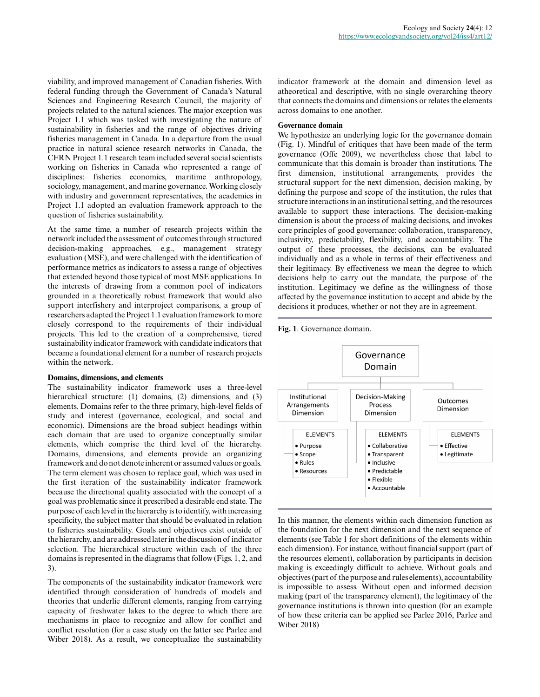viability, and improved management of Canadian fisheries. With federal funding through the Government of Canada's Natural Sciences and Engineering Research Council, the majority of projects related to the natural sciences. The major exception was Project 1.1 which was tasked with investigating the nature of sustainability in fisheries and the range of objectives driving fisheries management in Canada. In a departure from the usual practice in natural science research networks in Canada, the CFRN Project 1.1 research team included several social scientists working on fisheries in Canada who represented a range of disciplines: fisheries economics, maritime anthropology, sociology, management, and marine governance. Working closely with industry and government representatives, the academics in Project 1.1 adopted an evaluation framework approach to the question of fisheries sustainability.

At the same time, a number of research projects within the network included the assessment of outcomes through structured decision-making approaches, e.g., management strategy evaluation (MSE), and were challenged with the identification of performance metrics as indicators to assess a range of objectives that extended beyond those typical of most MSE applications. In the interests of drawing from a common pool of indicators grounded in a theoretically robust framework that would also support interfishery and interproject comparisons, a group of researchers adapted the Project 1.1 evaluation framework to more closely correspond to the requirements of their individual projects. This led to the creation of a comprehensive, tiered sustainability indicator framework with candidate indicators that became a foundational element for a number of research projects within the network.

#### **Domains, dimensions, and elements**

The sustainability indicator framework uses a three-level hierarchical structure: (1) domains, (2) dimensions, and (3) elements. Domains refer to the three primary, high-level fields of study and interest (governance, ecological, and social and economic). Dimensions are the broad subject headings within each domain that are used to organize conceptually similar elements, which comprise the third level of the hierarchy. Domains, dimensions, and elements provide an organizing framework and do not denote inherent or assumed values or goals. The term element was chosen to replace goal, which was used in the first iteration of the sustainability indicator framework because the directional quality associated with the concept of a goal was problematic since it prescribed a desirable end state. The purpose of each level in the hierarchy is to identify, with increasing specificity, the subject matter that should be evaluated in relation to fisheries sustainability. Goals and objectives exist outside of the hierarchy, and are addressed later in the discussion of indicator selection. The hierarchical structure within each of the three domains is represented in the diagrams that follow (Figs. 1, 2, and 3).

The components of the sustainability indicator framework were identified through consideration of hundreds of models and theories that underlie different elements, ranging from carrying capacity of freshwater lakes to the degree to which there are mechanisms in place to recognize and allow for conflict and conflict resolution (for a case study on the latter see Parlee and Wiber 2018). As a result, we conceptualize the sustainability

indicator framework at the domain and dimension level as atheoretical and descriptive, with no single overarching theory that connects the domains and dimensions or relates the elements across domains to one another.

# **Governance domain**

We hypothesize an underlying logic for the governance domain (Fig. 1). Mindful of critiques that have been made of the term governance (Offe 2009), we nevertheless chose that label to communicate that this domain is broader than institutions. The first dimension, institutional arrangements, provides the structural support for the next dimension, decision making, by defining the purpose and scope of the institution, the rules that structure interactions in an institutional setting, and the resources available to support these interactions. The decision-making dimension is about the process of making decisions, and invokes core principles of good governance: collaboration, transparency, inclusivity, predictability, flexibility, and accountability. The output of these processes, the decisions, can be evaluated individually and as a whole in terms of their effectiveness and their legitimacy. By effectiveness we mean the degree to which decisions help to carry out the mandate, the purpose of the institution. Legitimacy we define as the willingness of those affected by the governance institution to accept and abide by the decisions it produces, whether or not they are in agreement.





In this manner, the elements within each dimension function as the foundation for the next dimension and the next sequence of elements (see Table 1 for short definitions of the elements within each dimension). For instance, without financial support (part of the resources element), collaboration by participants in decision making is exceedingly difficult to achieve. Without goals and objectives (part of the purpose and rules elements), accountability is impossible to assess. Without open and informed decision making (part of the transparency element), the legitimacy of the governance institutions is thrown into question (for an example of how these criteria can be applied see Parlee 2016, Parlee and Wiber 2018)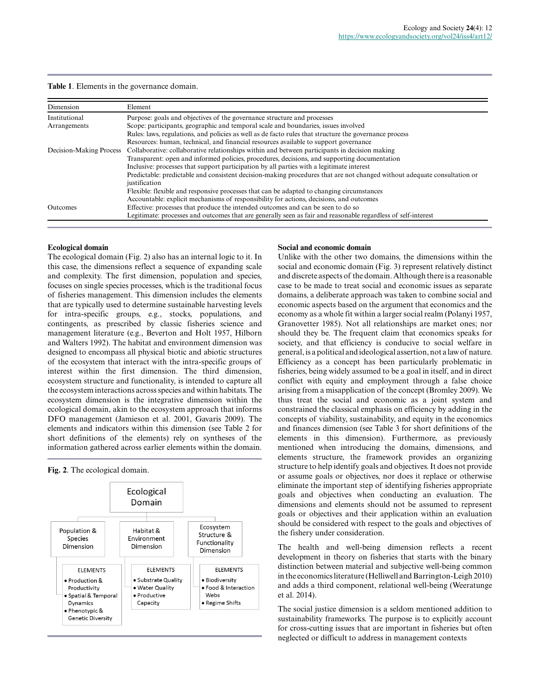| Table 1. Elements in the governance domain. |  |
|---------------------------------------------|--|
|---------------------------------------------|--|

| Dimension               | Element                                                                                                                  |
|-------------------------|--------------------------------------------------------------------------------------------------------------------------|
| Institutional           | Purpose: goals and objectives of the governance structure and processes                                                  |
| Arrangements            | Scope: participants, geographic and temporal scale and boundaries, issues involved                                       |
|                         | Rules: laws, regulations, and policies as well as de facto rules that structure the governance process                   |
|                         | Resources: human, technical, and financial resources available to support governance                                     |
| Decision-Making Process | Collaborative: collaborative relationships within and between participants in decision making                            |
|                         | Transparent: open and informed policies, procedures, decisions, and supporting documentation                             |
|                         | Inclusive: processes that support participation by all parties with a legitimate interest                                |
|                         | Predictable: predictable and consistent decision-making procedures that are not changed without adequate consultation or |
|                         | justification                                                                                                            |
|                         | Flexible: flexible and responsive processes that can be adapted to changing circumstances                                |
|                         | Accountable: explicit mechanisms of responsibility for actions, decisions, and outcomes                                  |
| Outcomes                | Effective: processes that produce the intended outcomes and can be seen to do so                                         |
|                         | Legitimate: processes and outcomes that are generally seen as fair and reasonable regardless of self-interest            |

#### **Ecological domain**

The ecological domain (Fig. 2) also has an internal logic to it. In this case, the dimensions reflect a sequence of expanding scale and complexity. The first dimension, population and species, focuses on single species processes, which is the traditional focus of fisheries management. This dimension includes the elements that are typically used to determine sustainable harvesting levels for intra-specific groups, e.g., stocks, populations, and contingents, as prescribed by classic fisheries science and management literature (e.g., Beverton and Holt 1957, Hilborn and Walters 1992). The habitat and environment dimension was designed to encompass all physical biotic and abiotic structures of the ecosystem that interact with the intra-specific groups of interest within the first dimension. The third dimension, ecosystem structure and functionality, is intended to capture all the ecosystem interactions across species and within habitats. The ecosystem dimension is the integrative dimension within the ecological domain, akin to the ecosystem approach that informs DFO management (Jamieson et al. 2001, Gavaris 2009). The elements and indicators within this dimension (see Table 2 for short definitions of the elements) rely on syntheses of the information gathered across earlier elements within the domain.





#### **Social and economic domain**

Unlike with the other two domains, the dimensions within the social and economic domain (Fig. 3) represent relatively distinct and discrete aspects of the domain. Although there is a reasonable case to be made to treat social and economic issues as separate domains, a deliberate approach was taken to combine social and economic aspects based on the argument that economics and the economy as a whole fit within a larger social realm (Polanyi 1957, Granovetter 1985). Not all relationships are market ones; nor should they be. The frequent claim that economics speaks for society, and that efficiency is conducive to social welfare in general, is a political and ideological assertion, not a law of nature. Efficiency as a concept has been particularly problematic in fisheries, being widely assumed to be a goal in itself, and in direct conflict with equity and employment through a false choice arising from a misapplication of the concept (Bromley 2009). We thus treat the social and economic as a joint system and constrained the classical emphasis on efficiency by adding in the concepts of viability, sustainability, and equity in the economics and finances dimension (see Table 3 for short definitions of the elements in this dimension). Furthermore, as previously mentioned when introducing the domains, dimensions, and elements structure, the framework provides an organizing structure to help identify goals and objectives. It does not provide or assume goals or objectives, nor does it replace or otherwise eliminate the important step of identifying fisheries appropriate goals and objectives when conducting an evaluation. The dimensions and elements should not be assumed to represent goals or objectives and their application within an evaluation should be considered with respect to the goals and objectives of the fishery under consideration.

The health and well-being dimension reflects a recent development in theory on fisheries that starts with the binary distinction between material and subjective well-being common in the economics literature (Helliwell and Barrington-Leigh 2010) and adds a third component, relational well-being (Weeratunge et al. 2014).

The social justice dimension is a seldom mentioned addition to sustainability frameworks. The purpose is to explicitly account for cross-cutting issues that are important in fisheries but often neglected or difficult to address in management contexts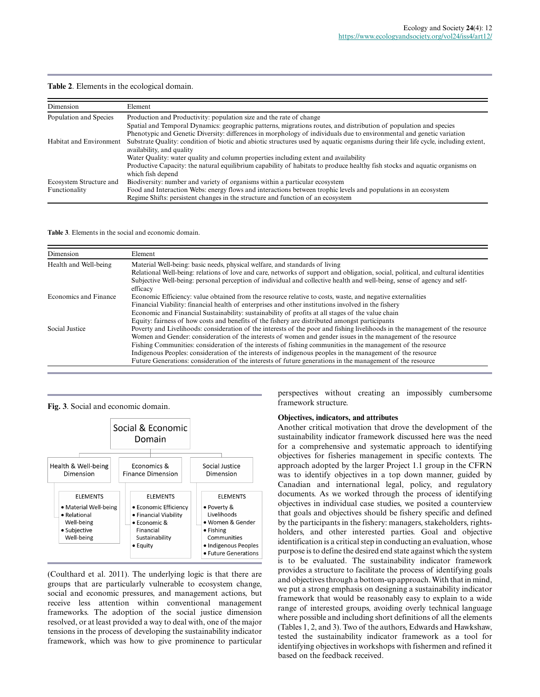# **Table 2**. Elements in the ecological domain.

| Dimension                      | Element                                                                                                                                                                                                                                    |
|--------------------------------|--------------------------------------------------------------------------------------------------------------------------------------------------------------------------------------------------------------------------------------------|
| Population and Species         | Production and Productivity: population size and the rate of change                                                                                                                                                                        |
|                                | Spatial and Temporal Dynamics: geographic patterns, migrations routes, and distribution of population and species<br>Phenotypic and Genetic Diversity: differences in morphology of individuals due to environmental and genetic variation |
| <b>Habitat and Environment</b> | Substrate Quality: condition of biotic and abiotic structures used by aquatic organisms during their life cycle, including extent,<br>availability, and quality                                                                            |
|                                | Water Quality: water quality and column properties including extent and availability                                                                                                                                                       |
|                                | Productive Capacity: the natural equilibrium capability of habitats to produce healthy fish stocks and aquatic organisms on<br>which fish depend                                                                                           |
| Ecosystem Structure and        | Biodiversity: number and variety of organisms within a particular ecosystem                                                                                                                                                                |
| Functionality                  | Food and Interaction Webs: energy flows and interactions between trophic levels and populations in an ecosystem                                                                                                                            |
|                                | Regime Shifts: persistent changes in the structure and function of an ecosystem                                                                                                                                                            |

**Table 3**. Elements in the social and economic domain.

| Dimension             | Element                                                                                                                           |
|-----------------------|-----------------------------------------------------------------------------------------------------------------------------------|
| Health and Well-being | Material Well-being: basic needs, physical welfare, and standards of living                                                       |
|                       | Relational Well-being: relations of love and care, networks of support and obligation, social, political, and cultural identities |
|                       | Subjective Well-being: personal perception of individual and collective health and well-being, sense of agency and self-          |
|                       | efficacy                                                                                                                          |
| Economics and Finance | Economic Efficiency: value obtained from the resource relative to costs, waste, and negative externalities                        |
|                       | Financial Viability: financial health of enterprises and other institutions involved in the fishery                               |
|                       | Economic and Financial Sustainability: sustainability of profits at all stages of the value chain                                 |
|                       | Equity: fairness of how costs and benefits of the fishery are distributed amongst participants                                    |
| Social Justice        | Poverty and Livelihoods: consideration of the interests of the poor and fishing livelihoods in the management of the resource     |
|                       | Women and Gender: consideration of the interests of women and gender issues in the management of the resource                     |
|                       | Fishing Communities: consideration of the interests of fishing communities in the management of the resource                      |
|                       | Indigenous Peoples: consideration of the interests of indigenous peoples in the management of the resource                        |
|                       | Future Generations: consideration of the interests of future generations in the management of the resource                        |

**Fig. 3**. Social and economic domain.



(Coulthard et al. 2011). The underlying logic is that there are groups that are particularly vulnerable to ecosystem change, social and economic pressures, and management actions, but receive less attention within conventional management frameworks. The adoption of the social justice dimension resolved, or at least provided a way to deal with, one of the major tensions in the process of developing the sustainability indicator framework, which was how to give prominence to particular

perspectives without creating an impossibly cumbersome framework structure.

#### **Objectives, indicators, and attributes**

Another critical motivation that drove the development of the sustainability indicator framework discussed here was the need for a comprehensive and systematic approach to identifying objectives for fisheries management in specific contexts. The approach adopted by the larger Project 1.1 group in the CFRN was to identify objectives in a top down manner, guided by Canadian and international legal, policy, and regulatory documents. As we worked through the process of identifying objectives in individual case studies, we posited a counterview that goals and objectives should be fishery specific and defined by the participants in the fishery: managers, stakeholders, rightsholders, and other interested parties. Goal and objective identification is a critical step in conducting an evaluation, whose purpose is to define the desired end state against which the system is to be evaluated. The sustainability indicator framework provides a structure to facilitate the process of identifying goals and objectives through a bottom-up approach. With that in mind, we put a strong emphasis on designing a sustainability indicator framework that would be reasonably easy to explain to a wide range of interested groups, avoiding overly technical language where possible and including short definitions of all the elements (Tables 1, 2, and 3). Two of the authors, Edwards and Hawkshaw, tested the sustainability indicator framework as a tool for identifying objectives in workshops with fishermen and refined it based on the feedback received.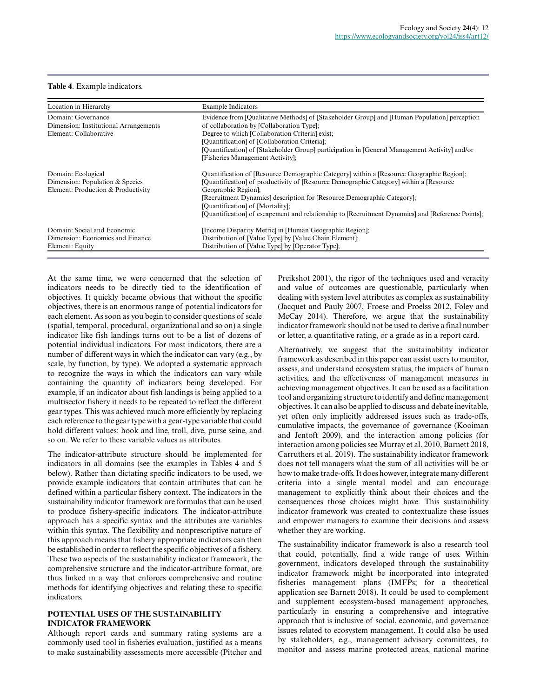#### **Table 4**. Example indicators.

| Location in Hierarchy                 | <b>Example Indicators</b>                                                                         |
|---------------------------------------|---------------------------------------------------------------------------------------------------|
| Domain: Governance                    | Evidence from [Qualitative Methods] of [Stakeholder Group] and [Human Population] perception      |
| Dimension: Institutional Arrangements | of collaboration by [Collaboration Type];                                                         |
| Element: Collaborative                | Degree to which [Collaboration Criteria] exist;                                                   |
|                                       | [Quantification] of [Collaboration Criteria];                                                     |
|                                       | [Quantification] of [Stakeholder Group] participation in [General Management Activity] and/or     |
|                                       | [Fisheries Management Activity];                                                                  |
| Domain: Ecological                    | Quantification of [Resource Demographic Category] within a [Resource Geographic Region];          |
| Dimension: Population & Species       | [Quantification] of productivity of [Resource Demographic Category] within a [Resource]           |
| Element: Production & Productivity    | Geographic Region];                                                                               |
|                                       | [Recruitment Dynamics] description for [Resource Demographic Category];                           |
|                                       | [Quantification] of [Mortality];                                                                  |
|                                       | [Quantification] of escapement and relationship to [Recruitment Dynamics] and [Reference Points]; |
| Domain: Social and Economic           | [Income Disparity Metric] in [Human Geographic Region];                                           |
| Dimension: Economics and Finance      | Distribution of [Value Type] by [Value Chain Element];                                            |
| Element: Equity                       | Distribution of [Value Type] by [Operator Type];                                                  |

At the same time, we were concerned that the selection of indicators needs to be directly tied to the identification of objectives. It quickly became obvious that without the specific objectives, there is an enormous range of potential indicators for each element. As soon as you begin to consider questions of scale (spatial, temporal, procedural, organizational and so on) a single indicator like fish landings turns out to be a list of dozens of potential individual indicators. For most indicators, there are a number of different ways in which the indicator can vary (e.g., by scale, by function, by type). We adopted a systematic approach to recognize the ways in which the indicators can vary while containing the quantity of indicators being developed. For example, if an indicator about fish landings is being applied to a multisector fishery it needs to be repeated to reflect the different gear types. This was achieved much more efficiently by replacing each reference to the gear type with a gear-type variable that could hold different values: hook and line, troll, dive, purse seine, and so on. We refer to these variable values as attributes.

The indicator-attribute structure should be implemented for indicators in all domains (see the examples in Tables 4 and 5 below). Rather than dictating specific indicators to be used, we provide example indicators that contain attributes that can be defined within a particular fishery context. The indicators in the sustainability indicator framework are formulas that can be used to produce fishery-specific indicators. The indicator-attribute approach has a specific syntax and the attributes are variables within this syntax. The flexibility and nonprescriptive nature of this approach means that fishery appropriate indicators can then be established in order to reflect the specific objectives of a fishery. These two aspects of the sustainability indicator framework, the comprehensive structure and the indicator-attribute format, are thus linked in a way that enforces comprehensive and routine methods for identifying objectives and relating these to specific indicators.

# **POTENTIAL USES OF THE SUSTAINABILITY INDICATOR FRAMEWORK**

Although report cards and summary rating systems are a commonly used tool in fisheries evaluation, justified as a means to make sustainability assessments more accessible (Pitcher and Preikshot 2001), the rigor of the techniques used and veracity and value of outcomes are questionable, particularly when dealing with system level attributes as complex as sustainability (Jacquet and Pauly 2007, Froese and Proelss 2012, Foley and McCay 2014). Therefore, we argue that the sustainability indicator framework should not be used to derive a final number or letter, a quantitative rating, or a grade as in a report card.

Alternatively, we suggest that the sustainability indicator framework as described in this paper can assist users to monitor, assess, and understand ecosystem status, the impacts of human activities, and the effectiveness of management measures in achieving management objectives. It can be used as a facilitation tool and organizing structure to identify and define management objectives. It can also be applied to discuss and debate inevitable, yet often only implicitly addressed issues such as trade-offs, cumulative impacts, the governance of governance (Kooiman and Jentoft 2009), and the interaction among policies (for interaction among policies see Murray et al. 2010, Barnett 2018, Carruthers et al. 2019). The sustainability indicator framework does not tell managers what the sum of all activities will be or how to make trade-offs. It does however, integrate many different criteria into a single mental model and can encourage management to explicitly think about their choices and the consequences those choices might have. This sustainability indicator framework was created to contextualize these issues and empower managers to examine their decisions and assess whether they are working.

The sustainability indicator framework is also a research tool that could, potentially, find a wide range of uses. Within government, indicators developed through the sustainability indicator framework might be incorporated into integrated fisheries management plans (IMFPs; for a theoretical application see Barnett 2018). It could be used to complement and supplement ecosystem-based management approaches, particularly in ensuring a comprehensive and integrative approach that is inclusive of social, economic, and governance issues related to ecosystem management. It could also be used by stakeholders, e.g., management advisory committees, to monitor and assess marine protected areas, national marine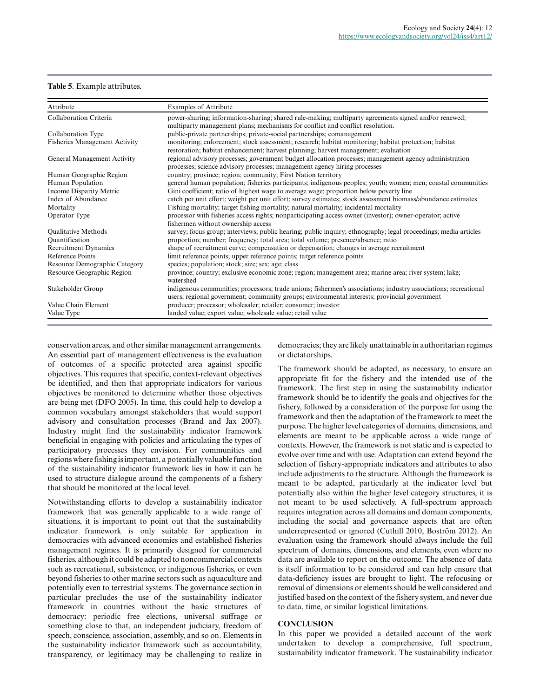#### **Table 5**. Example attributes.

| Attribute                                    | <b>Examples of Attribute</b>                                                                                                                                                                                    |
|----------------------------------------------|-----------------------------------------------------------------------------------------------------------------------------------------------------------------------------------------------------------------|
| Collaboration Criteria                       | power-sharing; information-sharing; shared rule-making; multiparty agreements signed and/or renewed;<br>multiparty management plans; mechanisms for conflict and conflict resolution.                           |
| Collaboration Type                           | public-private partnerships; private-social partnerships; comanagement                                                                                                                                          |
| <b>Fisheries Management Activity</b>         | monitoring; enforcement; stock assessment; research; habitat monitoring; habitat protection; habitat<br>restoration; habitat enhancement; harvest planning; harvest management; evaluation                      |
| General Management Activity                  | regional advisory processes; government budget allocation processes; management agency administration<br>processes; science advisory processes; management agency hiring processes                              |
| Human Geographic Region                      | country; province; region; community; First Nation territory                                                                                                                                                    |
| Human Population                             | general human population; fisheries participants; indigenous peoples; youth; women; men; coastal communities                                                                                                    |
| Income Disparity Metric                      | Gini coefficient; ratio of highest wage to average wage; proportion below poverty line                                                                                                                          |
| Index of Abundance                           | catch per unit effort; weight per unit effort; survey estimates; stock assessment biomass/abundance estimates                                                                                                   |
| Mortality                                    | Fishing mortality; target fishing mortality; natural mortality; incidental mortality                                                                                                                            |
| Operator Type                                | processor with fisheries access rights; nonparticipating access owner (investor); owner-operator; active<br>fishermen without ownership access                                                                  |
| <b>Qualitative Methods</b><br>Quantification | survey; focus group; interviews; public hearing; public inquiry; ethnography; legal proceedings; media articles<br>proportion; number; frequency; total area; total volume; presence/absence; ratio             |
| <b>Recruitment Dynamics</b>                  | shape of recruitment curve; compensation or depensation; changes in average recruitment                                                                                                                         |
| Reference Points                             | limit reference points; upper reference points; target reference points                                                                                                                                         |
| Resource Demographic Category                | species; population; stock; size; sex; age; class                                                                                                                                                               |
| Resource Geographic Region                   | province; country; exclusive economic zone; region; management area; marine area; river system; lake;<br>watershed                                                                                              |
| Stakeholder Group                            | indigenous communities; processors; trade unions; fishermen's associations; industry associations; recreational<br>users; regional government; community groups; environmental interests; provincial government |
| Value Chain Element                          | producer; processor; wholesaler; retailer; consumer; investor                                                                                                                                                   |
| Value Type                                   | landed value; export value; wholesale value; retail value                                                                                                                                                       |

conservation areas, and other similar management arrangements. An essential part of management effectiveness is the evaluation of outcomes of a specific protected area against specific objectives. This requires that specific, context-relevant objectives be identified, and then that appropriate indicators for various objectives be monitored to determine whether those objectives are being met (DFO 2005). In time, this could help to develop a common vocabulary amongst stakeholders that would support advisory and consultation processes (Brand and Jax 2007). Industry might find the sustainability indicator framework beneficial in engaging with policies and articulating the types of participatory processes they envision. For communities and regions where fishing is important, a potentially valuable function of the sustainability indicator framework lies in how it can be used to structure dialogue around the components of a fishery that should be monitored at the local level.

Notwithstanding efforts to develop a sustainability indicator framework that was generally applicable to a wide range of situations, it is important to point out that the sustainability indicator framework is only suitable for application in democracies with advanced economies and established fisheries management regimes. It is primarily designed for commercial fisheries, although it could be adapted to noncommercial contexts such as recreational, subsistence, or indigenous fisheries, or even beyond fisheries to other marine sectors such as aquaculture and potentially even to terrestrial systems. The governance section in particular precludes the use of the sustainability indicator framework in countries without the basic structures of democracy: periodic free elections, universal suffrage or something close to that, an independent judiciary, freedom of speech, conscience, association, assembly, and so on. Elements in the sustainability indicator framework such as accountability, transparency, or legitimacy may be challenging to realize in

democracies; they are likely unattainable in authoritarian regimes or dictatorships.

The framework should be adapted, as necessary, to ensure an appropriate fit for the fishery and the intended use of the framework. The first step in using the sustainability indicator framework should be to identify the goals and objectives for the fishery, followed by a consideration of the purpose for using the framework and then the adaptation of the framework to meet the purpose. The higher level categories of domains, dimensions, and elements are meant to be applicable across a wide range of contexts. However, the framework is not static and is expected to evolve over time and with use. Adaptation can extend beyond the selection of fishery-appropriate indicators and attributes to also include adjustments to the structure. Although the framework is meant to be adapted, particularly at the indicator level but potentially also within the higher level category structures, it is not meant to be used selectively. A full-spectrum approach requires integration across all domains and domain components, including the social and governance aspects that are often underrepresented or ignored (Cuthill 2010, Boström 2012). An evaluation using the framework should always include the full spectrum of domains, dimensions, and elements, even where no data are available to report on the outcome. The absence of data is itself information to be considered and can help ensure that data-deficiency issues are brought to light. The refocusing or removal of dimensions or elements should be well considered and justified based on the context of the fishery system, and never due to data, time, or similar logistical limitations.

# **CONCLUSION**

In this paper we provided a detailed account of the work undertaken to develop a comprehensive, full spectrum, sustainability indicator framework. The sustainability indicator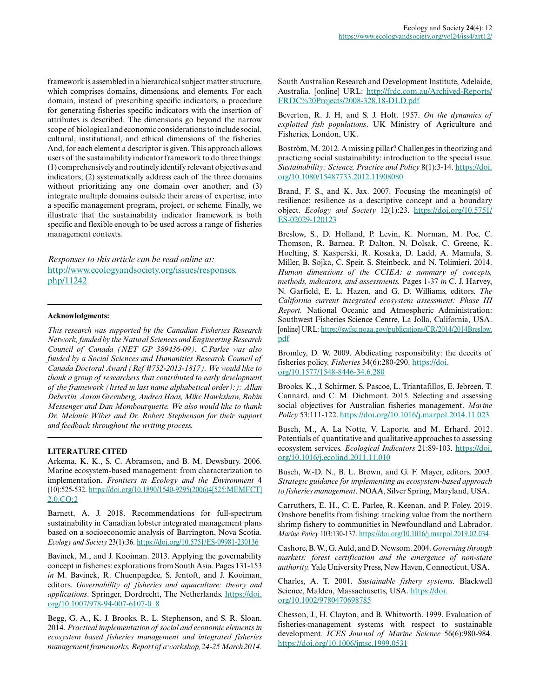framework is assembled in a hierarchical subject matter structure, which comprises domains, dimensions, and elements. For each domain, instead of prescribing specific indicators, a procedure for generating fisheries specific indicators with the insertion of attributes is described. The dimensions go beyond the narrow scope of biological and economic considerations to include social, cultural, institutional, and ethical dimensions of the fisheries. And, for each element a descriptor is given. This approach allows users of the sustainability indicator framework to do three things: (1) comprehensively and routinely identify relevant objectives and indicators; (2) systematically address each of the three domains without prioritizing any one domain over another; and (3) integrate multiple domains outside their areas of expertise, into a specific management program, project, or scheme. Finally, we illustrate that the sustainability indicator framework is both specific and flexible enough to be used across a range of fisheries management contexts.

*Responses to this article can be read online at:* [http://www.ecologyandsociety.org/issues/responses.](http://www.ecologyandsociety.org/issues/responses.php/11242) [php/11242](http://www.ecologyandsociety.org/issues/responses.php/11242)

### **Acknowledgments:**

*This research was supported by the Canadian Fisheries Research Network, funded by the Natural Sciences and Engineering Research Council of Canada (NET GP 389436-09). C.Parlee was also funded by a Social Sciences and Humanities Research Council of Canada Doctoral Award (Ref #752-2013-1817). We would like to thank a group of researchers that contributed to early development of the framework (listed in last name alphabetical order):): Allan Debertin, Aaron Greenberg, Andrea Haas, Mike Hawkshaw, Robin Messenger and Dan Mombourquette. We also would like to thank Dr. Melanie Wiber and Dr. Robert Stephenson for their support and feedback throughout the writing process.*

#### **LITERATURE CITED**

Arkema, K. K., S. C. Abramson, and B. M. Dewsbury. 2006. Marine ecosystem-based management: from characterization to implementation. *Frontiers in Ecology and the Environment* 4 (10):525-532. [https://doi.org/10.1890/1540-9295\(2006\)4\[525:MEMFCT\]](https://doi.org/10.1890/1540-9295(2006)4[525:MEMFCT]2.0.CO;2) [2.0.CO;2](https://doi.org/10.1890/1540-9295(2006)4[525:MEMFCT]2.0.CO;2)

Barnett, A. J. 2018. Recommendations for full-spectrum sustainability in Canadian lobster integrated management plans based on a socioeconomic analysis of Barrington, Nova Scotia. *Ecology and Society* 23(1):36.<https://doi.org/10.5751/ES-09981-230136>

Bavinck, M., and J. Kooiman. 2013. Applying the governability concept in fisheries: explorations from South Asia. Pages 131-153 *in* M. Bavinck, R. Chuenpagdee, S. Jentoft, and J. Kooiman, editors. *Governability of fisheries and aquaculture: theory and applications*. Springer, Dordrecht, The Netherlands. [https://doi.](https://doi.org/10.1007/978-94-007-6107-0_8) [org/10.1007/978-94-007-6107-0\\_8](https://doi.org/10.1007/978-94-007-6107-0_8) 

Begg, G. A., K. J. Brooks, R. L. Stephenson, and S. R. Sloan. 2014. *Practical implementation of social and economic elements in ecosystem based fisheries management and integrated fisheries management frameworks. Report of a workshop, 24-25 March 2014*. South Australian Research and Development Institute, Adelaide, Australia. [online] URL: [http://frdc.com.au/Archived-Reports/](http://frdc.com.au/Archived-Reports/FRDC%20Projects/2008-328.18-DLD.pdf) [FRDC%20Projects/2008-328.18-DLD.pdf](http://frdc.com.au/Archived-Reports/FRDC%20Projects/2008-328.18-DLD.pdf)

Beverton, R. J. H, and S. J. Holt. 1957. *On the dynamics of exploited fish populations*. UK Ministry of Agriculture and Fisheries, London, UK.

Boström, M. 2012. A missing pillar? Challenges in theorizing and practicing social sustainability: introduction to the special issue. *Sustainability: Science, Practice and Policy* 8(1):3-14. [https://doi.](https://doi.org/10.1080/15487733.2012.11908080) [org/10.1080/15487733.2012.11908080](https://doi.org/10.1080/15487733.2012.11908080)

Brand, F. S., and K. Jax. 2007. Focusing the meaning(s) of resilience: resilience as a descriptive concept and a boundary object. *Ecology and Society* 12(1):23. [https://doi.org/10.5751/](https://doi.org/10.5751/ES-02029-120123) [ES-02029-120123](https://doi.org/10.5751/ES-02029-120123)

Breslow, S., D. Holland, P. Levin, K. Norman, M. Poe, C. Thomson, R. Barnea, P. Dalton, N. Dolsak, C. Greene, K. Hoelting, S. Kasperski, R. Kosaka, D. Ladd, A. Mamula, S. Miller, B. Sojka, C. Speir, S. Steinbeck, and N. Tolimieri. 2014. *Human dimensions of the CCIEA: a summary of concepts, methods, indicators, and assessments.* Pages 1-37 *in* C. J. Harvey, N. Garfield, E. L. Hazen, and G. D. Williams, editors. *The California current integrated ecosystem assessment: Phase III Report.* National Oceanic and Atmospheric Administration: Southwest Fisheries Science Centre, La Jolla, California, USA. [online] URL: [https://swfsc.noaa.gov/publications/CR/2014/2014Breslow.](https://swfsc.noaa.gov/publications/CR/2014/2014Breslow.pdf) [pdf](https://swfsc.noaa.gov/publications/CR/2014/2014Breslow.pdf)

Bromley, D. W. 2009. Abdicating responsibility: the deceits of fisheries policy. *Fisheries* 34(6):280-290. [https://doi.](https://doi.org/10.1577/1548-8446-34.6.280) [org/10.1577/1548-8446-34.6.280](https://doi.org/10.1577/1548-8446-34.6.280)

Brooks, K., J. Schirmer, S. Pascoe, L. Triantafillos, E. Jebreen, T. Cannard, and C. M. Dichmont. 2015. Selecting and assessing social objectives for Australian fisheries management. *Marine Policy* 53:111-122.<https://doi.org/10.1016/j.marpol.2014.11.023>

Busch, M., A. La Notte, V. Laporte, and M. Erhard. 2012. Potentials of quantitative and qualitative approaches to assessing ecosystem services. *Ecological Indicators* 21:89-103. [https://doi.](https://doi.org/10.1016/j.ecolind.2011.11.010) [org/10.1016/j.ecolind.2011.11.010](https://doi.org/10.1016/j.ecolind.2011.11.010) 

Busch, W.-D. N., B. L. Brown, and G. F. Mayer, editors. 2003. *Strategic guidance for implementing an ecosystem-based approach to fisheries management*. NOAA, Silver Spring, Maryland, USA.

Carruthers, E. H., C. E. Parlee, R. Keenan, and P. Foley. 2019. Onshore benefits from fishing: tracking value from the northern shrimp fishery to communities in Newfoundland and Labrador. *Marine Policy* 103:130-137.<https://doi.org/10.1016/j.marpol.2019.02.034>

Cashore, B. W., G. Auld, and D. Newsom. 2004. *Governing through markets: forest certification and the emergence of non-state authority.* Yale University Press, New Haven, Connecticut, USA.

Charles, A. T. 2001. *Sustainable fishery systems*. Blackwell Science, Malden, Massachusetts, USA. [https://doi.](https://doi.org/10.1002/9780470698785) [org/10.1002/9780470698785](https://doi.org/10.1002/9780470698785) 

Chesson, J., H. Clayton, and B. Whitworth. 1999. Evaluation of fisheries-management systems with respect to sustainable development. *ICES Journal of Marine Science* 56(6):980-984. <https://doi.org/10.1006/jmsc.1999.0531>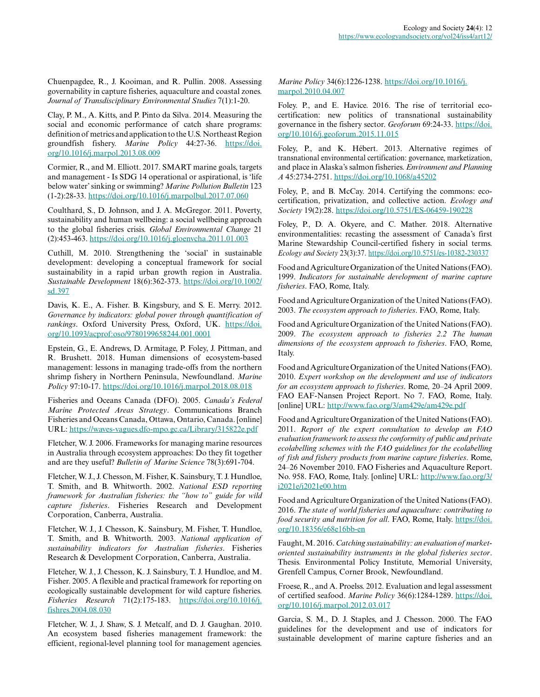Chuenpagdee, R., J. Kooiman, and R. Pullin. 2008. Assessing governability in capture fisheries, aquaculture and coastal zones. *Journal of Transdisciplinary Environmental Studies* 7(1):1-20.

Clay, P. M., A. Kitts, and P. Pinto da Silva. 2014. Measuring the social and economic performance of catch share programs: definition of metrics and application to the U.S. Northeast Region groundfish fishery. *Marine Policy* 44:27-36. [https://doi.](https://doi.org/10.1016/j.marpol.2013.08.009) [org/10.1016/j.marpol.2013.08.009](https://doi.org/10.1016/j.marpol.2013.08.009) 

Cormier, R., and M. Elliott. 2017. SMART marine goals, targets and management - Is SDG 14 operational or aspirational, is 'life below water' sinking or swimming? *Marine Pollution Bulletin* 123 (1-2):28-33.<https://doi.org/10.1016/j.marpolbul.2017.07.060>

Coulthard, S., D. Johnson, and J. A. McGregor. 2011. Poverty, sustainability and human wellbeing: a social wellbeing approach to the global fisheries crisis. *Global Environmental Change* 21 (2):453-463. <https://doi.org/10.1016/j.gloenvcha.2011.01.003>

Cuthill, M. 2010. Strengthening the 'social' in sustainable development: developing a conceptual framework for social sustainability in a rapid urban growth region in Australia. *Sustainable Development* 18(6):362-373. [https://doi.org/10.1002/](https://doi.org/10.1002/sd.397) [sd.397](https://doi.org/10.1002/sd.397)

Davis, K. E., A. Fisher. B. Kingsbury, and S. E. Merry. 2012. *Governance by indicators: global power through quantification of rankings*. Oxford University Press, Oxford, UK. [https://doi.](https://doi.org/10.1093/acprof:oso/9780199658244.001.0001) [org/10.1093/acprof:oso/9780199658244.001.0001](https://doi.org/10.1093/acprof:oso/9780199658244.001.0001) 

Epstein, G., E. Andrews, D. Armitage, P. Foley, J. Pittman, and R. Brushett. 2018. Human dimensions of ecosystem-based management: lessons in managing trade-offs from the northern shrimp fishery in Northern Peninsula, Newfoundland. *Marine Policy* 97:10-17.<https://doi.org/10.1016/j.marpol.2018.08.018>

Fisheries and Oceans Canada (DFO). 2005. *Canada's Federal Marine Protected Areas Strategy*. Communications Branch Fisheries and Oceans Canada, Ottawa, Ontario, Canada. [online] URL:<https://waves-vagues.dfo-mpo.gc.ca/Library/315822e.pdf>

Fletcher, W. J. 2006. Frameworks for managing marine resources in Australia through ecosystem approaches: Do they fit together and are they useful? *Bulletin of Marine Science* 78(3):691-704.

Fletcher, W. J., J. Chesson, M. Fisher, K. Sainsbury, T. J. Hundloe, T. Smith, and B. Whitworth. 2002. *National ESD reporting framework for Australian fisheries: the "how to" guide for wild capture fisheries*. Fisheries Research and Development Corporation, Canberra, Australia.

Fletcher, W. J., J. Chesson, K. Sainsbury, M. Fisher, T. Hundloe, T. Smith, and B. Whitworth. 2003. *National application of sustainability indicators for Australian fisheries*. Fisheries Research & Development Corporation, Canberra, Australia.

Fletcher, W. J., J. Chesson, K. J. Sainsbury, T. J. Hundloe, and M. Fisher. 2005. A flexible and practical framework for reporting on ecologically sustainable development for wild capture fisheries. *Fisheries Research* 71(2):175-183. [https://doi.org/10.1016/j.](https://doi.org/10.1016/j.fishres.2004.08.030) [fishres.2004.08.030](https://doi.org/10.1016/j.fishres.2004.08.030) 

Fletcher, W. J., J. Shaw, S. J. Metcalf, and D. J. Gaughan. 2010. An ecosystem based fisheries management framework: the efficient, regional-level planning tool for management agencies.

*Marine Policy* 34(6):1226-1238. [https://doi.org/10.1016/j.](https://doi.org/10.1016/j.marpol.2010.04.007) [marpol.2010.04.007](https://doi.org/10.1016/j.marpol.2010.04.007) 

Foley. P., and E. Havice. 2016. The rise of territorial ecocertification: new politics of transnational sustainability governance in the fishery sector. *Geoforum* 69:24-33. [https://doi.](https://doi.org/10.1016/j.geoforum.2015.11.015) [org/10.1016/j.geoforum.2015.11.015](https://doi.org/10.1016/j.geoforum.2015.11.015) 

Foley, P., and K. Hébert. 2013. Alternative regimes of transnational environmental certification: governance, marketization, and place in Alaska's salmon fisheries. *Environment and Planning A* 45:2734-2751. <https://doi.org/10.1068/a45202>

Foley, P., and B. McCay. 2014. Certifying the commons: ecocertification, privatization, and collective action. *Ecology and Society* 19(2):28. <https://doi.org/10.5751/ES-06459-190228>

Foley, P., D. A. Okyere, and C. Mather. 2018. Alternative environmentalities: recasting the assessment of Canada's first Marine Stewardship Council-certified fishery in social terms. *Ecology and Society* 23(3):37.<https://doi.org/10.5751/es-10382-230337>

Food and Agriculture Organization of the United Nations (FAO). 1999. *Indicators for sustainable development of marine capture fisheries*. FAO, Rome, Italy.

Food and Agriculture Organization of the United Nations (FAO). 2003. *The ecosystem approach to fisheries*. FAO, Rome, Italy.

Food and Agriculture Organization of the United Nations (FAO). 2009. *The ecosystem approach to fisheries 2.2 The human dimensions of the ecosystem approach to fisheries*. FAO, Rome, Italy.

Food and Agriculture Organization of the United Nations (FAO). 2010. *Expert workshop on the development and use of indicators for an ecosystem approach to fisheries*. Rome, 20–24 April 2009. FAO EAF-Nansen Project Report. No 7. FAO, Rome, Italy. [online] URL: <http://www.fao.org/3/am429e/am429e.pdf>

Food and Agriculture Organization of the United Nations (FAO). 2011. *Report of the expert consultation to develop an FAO evaluation framework to assess the conformity of public and private ecolabelling schemes with the FAO guidelines for the ecolabelling of fish and fishery products from marine capture fisheries*. Rome, 24–26 November 2010. FAO Fisheries and Aquaculture Report. No. 958. FAO, Rome, Italy. [online] URL: [http://www.fao.org/3/](http://www.fao.org/3/i2021e/i2021e00.htm) [i2021e/i2021e00.htm](http://www.fao.org/3/i2021e/i2021e00.htm)

Food and Agriculture Organization of the United Nations (FAO). 2016. *The state of world fisheries and aquaculture: contributing to food security and nutrition for all*. FAO, Rome, Italy. [https://doi.](https://doi.org/10.18356/e68e16bb-en) [org/10.18356/e68e16bb-en](https://doi.org/10.18356/e68e16bb-en)

Faught, M. 2016. *Catching sustainability: an evaluation of marketoriented sustainability instruments in the global fisheries sector*. Thesis. Environmental Policy Institute, Memorial University, Grenfell Campus, Corner Brook, Newfoundland.

Froese, R., and A. Proelss. 2012. Evaluation and legal assessment of certified seafood. *Marine Policy* 36(6):1284-1289. [https://doi.](https://doi.org/10.1016/j.marpol.2012.03.017) [org/10.1016/j.marpol.2012.03.017](https://doi.org/10.1016/j.marpol.2012.03.017) 

Garcia, S. M., D. J. Staples, and J. Chesson. 2000. The FAO guidelines for the development and use of indicators for sustainable development of marine capture fisheries and an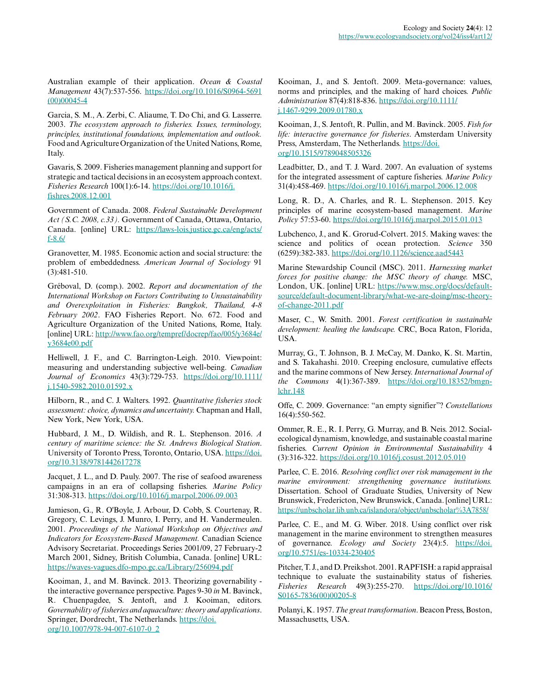Australian example of their application. *Ocean & Coastal Management* 43(7):537-556. [https://doi.org/10.1016/S0964-5691](https://doi.org/10.1016/S0964-5691(00)00045-4) [\(00\)00045-4](https://doi.org/10.1016/S0964-5691(00)00045-4) 

Garcia, S. M., A. Zerbi, C. Aliaume, T. Do Chi, and G. Lasserre. 2003. *The ecosystem approach to fisheries. Issues, terminology, principles, institutional foundations, implementation and outlook.* Food and Agriculture Organization of the United Nations, Rome, Italy.

Gavaris, S. 2009. Fisheries management planning and support for strategic and tactical decisions in an ecosystem approach context. *Fisheries Research* 100(1):6-14. [https://doi.org/10.1016/j.](https://doi.org/10.1016/j.fishres.2008.12.001) [fishres.2008.12.001](https://doi.org/10.1016/j.fishres.2008.12.001) 

Government of Canada. 2008. *Federal Sustainable Development Act (S.C. 2008, c.33).* Government of Canada, Ottawa, Ontario, Canada. [online] URL: [https://laws-lois.justice.gc.ca/eng/acts/](https://laws-lois.justice.gc.ca/eng/acts/f-8.6/) [f-8.6/](https://laws-lois.justice.gc.ca/eng/acts/f-8.6/) 

Granovetter, M. 1985. Economic action and social structure: the problem of embeddedness. *American Journal of Sociology* 91 (3):481-510.

Gréboval, D. (comp.). 2002. *Report and documentation of the International Workshop on Factors Contributing to Unsustainability and Overexploitation in Fisheries: Bangkok, Thailand, 4-8 February 2002*. FAO Fisheries Report. No. 672. Food and Agriculture Organization of the United Nations, Rome, Italy. [online] URL: [http://www.fao.org/tempref/docrep/fao/005/y3684e/](http://www.fao.org/tempref/docrep/fao/005/y3684e/y3684e00.pdf) [y3684e00.pdf](http://www.fao.org/tempref/docrep/fao/005/y3684e/y3684e00.pdf)

Helliwell, J. F., and C. Barrington-Leigh. 2010. Viewpoint: measuring and understanding subjective well-being. *Canadian Journal of Economics* 43(3):729-753. [https://doi.org/10.1111/](https://doi.org/10.1111/j.1540-5982.2010.01592.x) [j.1540-5982.2010.01592.x](https://doi.org/10.1111/j.1540-5982.2010.01592.x)

Hilborn, R., and C. J. Walters. 1992. *Quantitative fisheries stock assessment: choice, dynamics and uncertainty.* Chapman and Hall, New York, New York, USA.

Hubbard, J. M., D. Wildish, and R. L. Stephenson. 2016. *A century of maritime science: the St. Andrews Biological Station*. University of Toronto Press, Toronto, Ontario, USA. [https://doi.](https://doi.org/10.3138/9781442617278) [org/10.3138/9781442617278](https://doi.org/10.3138/9781442617278) 

Jacquet, J. L., and D. Pauly. 2007. The rise of seafood awareness campaigns in an era of collapsing fisheries. *Marine Policy* 31:308-313.<https://doi.org/10.1016/j.marpol.2006.09.003>

Jamieson, G., R. O'Boyle, J. Arbour, D. Cobb, S. Courtenay, R. Gregory, C. Levings, J. Munro, I. Perry, and H. Vandermeulen. 2001. *Proceedings of the National Workshop on Objectives and Indicators for Ecosystem-Based Management.* Canadian Science Advisory Secretariat. Proceedings Series 2001/09, 27 February-2 March 2001, Sidney, British Columbia, Canada. [online] URL: <https://waves-vagues.dfo-mpo.gc.ca/Library/256094.pdf>

Kooiman, J., and M. Bavinck. 2013. Theorizing governability the interactive governance perspective. Pages 9-30 *in* M. Bavinck, R. Chuenpagdee, S. Jentoft, and J. Kooiman, editors. *Governability of fisheries and aquaculture: theory and applications*. Springer, Dordrecht, The Netherlands. [https://doi.](https://doi.org/10.1007/978-94-007-6107-0_2) [org/10.1007/978-94-007-6107-0\\_2](https://doi.org/10.1007/978-94-007-6107-0_2) 

Kooiman, J., and S. Jentoft. 2009. Meta-governance: values, norms and principles, and the making of hard choices. *Public Administration* 87(4):818-836. [https://doi.org/10.1111/](https://doi.org/10.1111/j.1467-9299.2009.01780.x) [j.1467-9299.2009.01780.x](https://doi.org/10.1111/j.1467-9299.2009.01780.x)

Kooiman, J., S. Jentoft, R. Pullin, and M. Bavinck. 2005. *Fish for life: interactive governance for fisheries*. Amsterdam University Press, Amsterdam, The Netherlands. [https://doi.](https://doi.org/10.1515/9789048505326) [org/10.1515/9789048505326](https://doi.org/10.1515/9789048505326) 

Leadbitter, D., and T. J. Ward. 2007. An evaluation of systems for the integrated assessment of capture fisheries. *Marine Policy* 31(4):458-469. <https://doi.org/10.1016/j.marpol.2006.12.008>

Long, R. D., A. Charles, and R. L. Stephenson. 2015. Key principles of marine ecosystem-based management. *Marine Policy* 57:53-60.<https://doi.org/10.1016/j.marpol.2015.01.013>

Lubchenco, J., and K. Grorud-Colvert. 2015. Making waves: the science and politics of ocean protection. *Science* 350 (6259):382-383.<https://doi.org/10.1126/science.aad5443>

Marine Stewardship Council (MSC). 2011. *Harnessing market forces for positive change: the MSC theory of change.* MSC, London, UK. [online] URL: [https://www.msc.org/docs/default](https://www.msc.org/docs/default-source/default-document-library/what-we-are-doing/msc-theory-of-change-2011.pdf)[source/default-document-library/what-we-are-doing/msc-theory](https://www.msc.org/docs/default-source/default-document-library/what-we-are-doing/msc-theory-of-change-2011.pdf)[of-change-2011.pdf](https://www.msc.org/docs/default-source/default-document-library/what-we-are-doing/msc-theory-of-change-2011.pdf)

Maser, C., W. Smith. 2001. *Forest certification in sustainable development: healing the landscape.* CRC, Boca Raton, Florida, USA.

Murray, G., T. Johnson, B. J. McCay, M. Danko, K. St. Martin, and S. Takahashi. 2010. Creeping enclosure, cumulative effects and the marine commons of New Jersey. *International Journal of the Commons* 4(1):367-389. [https://doi.org/10.18352/bmgn](https://doi.org/10.18352/bmgn-lchr.148)[lchr.148](https://doi.org/10.18352/bmgn-lchr.148)

Offe, C. 2009. Governance: "an empty signifier"? *Constellations* 16(4):550-562.

Ommer, R. E., R. I. Perry, G. Murray, and B. Neis. 2012. Socialecological dynamism, knowledge, and sustainable coastal marine fisheries. *Current Opinion in Environmental Sustainability* 4 (3):316-322. <https://doi.org/10.1016/j.cosust.2012.05.010>

Parlee, C. E. 2016. *Resolving conflict over risk management in the marine environment: strengthening governance institutions.* Dissertation. School of Graduate Studies, University of New Brunswick, Fredericton, New Brunswick, Canada. [online] URL: <https://unbscholar.lib.unb.ca/islandora/object/unbscholar%3A7858/>

Parlee, C. E., and M. G. Wiber. 2018. Using conflict over risk management in the marine environment to strengthen measures of governance. *Ecology and Society* 23(4):5. [https://doi.](https://doi.org/10.5751/es-10334-230405) [org/10.5751/es-10334-230405](https://doi.org/10.5751/es-10334-230405)

Pitcher, T. J., and D. Preikshot. 2001. RAPFISH: a rapid appraisal technique to evaluate the sustainability status of fisheries. *Fisheries Research* 49(3):255-270. [https://doi.org/10.1016/](https://doi.org/10.1016/S0165-7836(00)00205-8) [S0165-7836\(00\)00205-8](https://doi.org/10.1016/S0165-7836(00)00205-8) 

Polanyi, K. 1957. *The great transformation*. Beacon Press, Boston, Massachusetts, USA.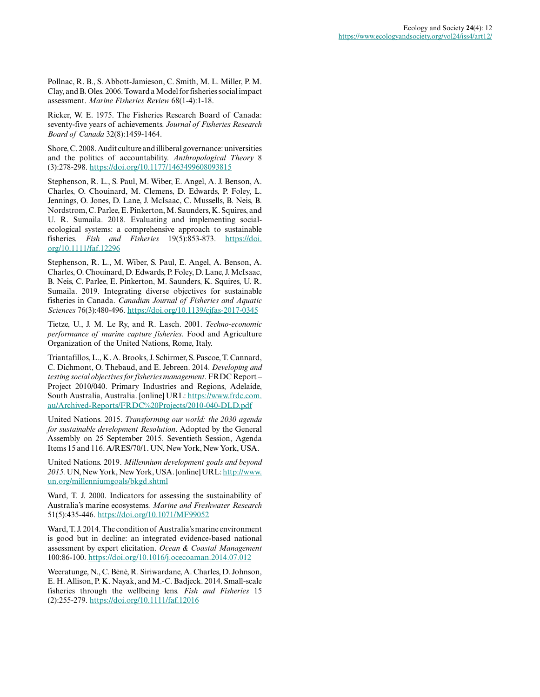Pollnac, R. B., S. Abbott-Jamieson, C. Smith, M. L. Miller, P. M. Clay, and B. Oles. 2006. Toward a Model for fisheries social impact assessment. *Marine Fisheries Review* 68(1-4):1-18.

Ricker, W. E. 1975. The Fisheries Research Board of Canada: seventy-five years of achievements. *Journal of Fisheries Research Board of Canada* 32(8):1459-1464.

Shore, C. 2008. Audit culture and illiberal governance: universities and the politics of accountability. *Anthropological Theory* 8 (3):278-298. <https://doi.org/10.1177/1463499608093815>

Stephenson, R. L., S. Paul, M. Wiber, E. Angel, A. J. Benson, A. Charles, O. Chouinard, M. Clemens, D. Edwards, P. Foley, L. Jennings, O. Jones, D. Lane, J. McIsaac, C. Mussells, B. Neis, B. Nordstrom, C. Parlee, E. Pinkerton, M. Saunders, K. Squires, and U. R. Sumaila. 2018. Evaluating and implementing socialecological systems: a comprehensive approach to sustainable fisheries. *Fish and Fisheries* 19(5):853-873. [https://doi.](https://doi.org/10.1111/faf.12296) [org/10.1111/faf.12296](https://doi.org/10.1111/faf.12296)

Stephenson, R. L., M. Wiber, S. Paul, E. Angel, A. Benson, A. Charles, O. Chouinard, D. Edwards, P. Foley, D. Lane, J. McIsaac, B. Neis, C. Parlee, E. Pinkerton, M. Saunders, K. Squires, U. R. Sumaila. 2019. Integrating diverse objectives for sustainable fisheries in Canada. *Canadian Journal of Fisheries and Aquatic Sciences* 76(3):480-496.<https://doi.org/10.1139/cjfas-2017-0345>

Tietze, U., J. M. Le Ry, and R. Lasch. 2001. *Techno-economic performance of marine capture fisheries*. Food and Agriculture Organization of the United Nations, Rome, Italy.

Triantafillos, L., K. A. Brooks, J. Schirmer, S. Pascoe, T. Cannard, C. Dichmont, O. Thebaud, and E. Jebreen. 2014. *Developing and testing social objectives for fisheries management*. FRDC Report – Project 2010/040. Primary Industries and Regions, Adelaide, South Australia, Australia. [online] URL: [https://www.frdc.com.](https://www.frdc.com.au/Archived-Reports/FRDC%20Projects/2010-040-DLD.pdf) [au/Archived-Reports/FRDC%20Projects/2010-040-DLD.pdf](https://www.frdc.com.au/Archived-Reports/FRDC%20Projects/2010-040-DLD.pdf)

United Nations. 2015. *Transforming our world: the 2030 agenda for sustainable development Resolution*. Adopted by the General Assembly on 25 September 2015. Seventieth Session, Agenda Items 15 and 116. A/RES/70/1. UN, New York, New York, USA.

United Nations. 2019. *Millennium development goals and beyond 2015.* UN, New York, New York, USA. [online] URL: [http://www.](http://www.un.org/millenniumgoals/bkgd.shtml) [un.org/millenniumgoals/bkgd.shtml](http://www.un.org/millenniumgoals/bkgd.shtml) 

Ward, T. J. 2000. Indicators for assessing the sustainability of Australia's marine ecosystems. *Marine and Freshwater Research* 51(5):435-446. <https://doi.org/10.1071/MF99052>

Ward, T. J. 2014. The condition of Australia's marine environment is good but in decline: an integrated evidence-based national assessment by expert elicitation. *Ocean & Coastal Management* 100:86-100.<https://doi.org/10.1016/j.ocecoaman.2014.07.012>

Weeratunge, N., C. Béné, R. Siriwardane, A. Charles, D. Johnson, E. H. Allison, P. K. Nayak, and M.-C. Badjeck. 2014. Small-scale fisheries through the wellbeing lens. *Fish and Fisheries* 15 (2):255-279. <https://doi.org/10.1111/faf.12016>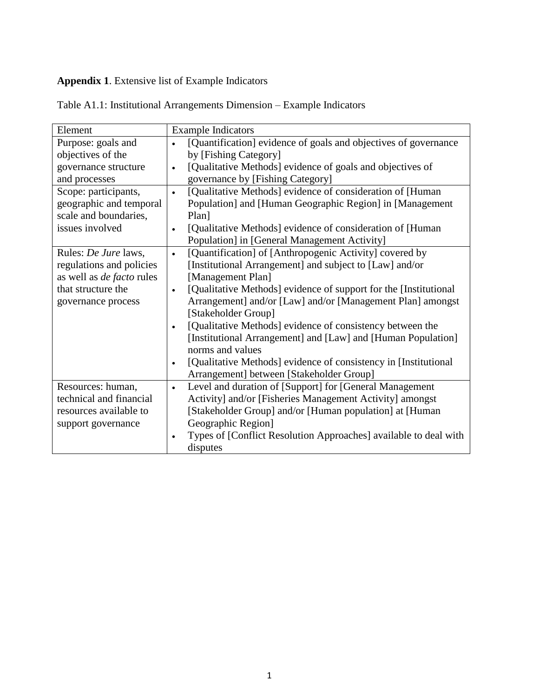# **Appendix 1**. Extensive list of Example Indicators

| Element                          | <b>Example Indicators</b>                                                     |
|----------------------------------|-------------------------------------------------------------------------------|
| Purpose: goals and               | [Quantification] evidence of goals and objectives of governance<br>$\bullet$  |
| objectives of the                | by [Fishing Category]                                                         |
| governance structure             | [Qualitative Methods] evidence of goals and objectives of<br>$\bullet$        |
| and processes                    | governance by [Fishing Category]                                              |
| Scope: participants,             | [Qualitative Methods] evidence of consideration of [Human]<br>$\bullet$       |
| geographic and temporal          | Population] and [Human Geographic Region] in [Management]                     |
| scale and boundaries,            | Plan]                                                                         |
| issues involved                  | [Qualitative Methods] evidence of consideration of [Human]<br>$\bullet$       |
|                                  | Population] in [General Management Activity]                                  |
| Rules: De Jure laws,             | [Quantification] of [Anthropogenic Activity] covered by<br>$\bullet$          |
| regulations and policies         | [Institutional Arrangement] and subject to [Law] and/or                       |
| as well as <i>de facto</i> rules | [Management Plan]                                                             |
| that structure the               | [Qualitative Methods] evidence of support for the [Institutional<br>$\bullet$ |
| governance process               | Arrangement] and/or [Law] and/or [Management Plan] amongst                    |
|                                  | [Stakeholder Group]                                                           |
|                                  | [Qualitative Methods] evidence of consistency between the<br>$\bullet$        |
|                                  | [Institutional Arrangement] and [Law] and [Human Population]                  |
|                                  | norms and values                                                              |
|                                  | [Qualitative Methods] evidence of consistency in [Institutional<br>$\bullet$  |
|                                  | Arrangement] between [Stakeholder Group]                                      |
| Resources: human,                | Level and duration of [Support] for [General Management<br>$\bullet$          |
| technical and financial          | Activity] and/or [Fisheries Management Activity] amongst                      |
| resources available to           | [Stakeholder Group] and/or [Human population] at [Human]                      |
| support governance               | Geographic Region]                                                            |
|                                  | Types of [Conflict Resolution Approaches] available to deal with<br>$\bullet$ |
|                                  | disputes                                                                      |

Table A1.1: Institutional Arrangements Dimension – Example Indicators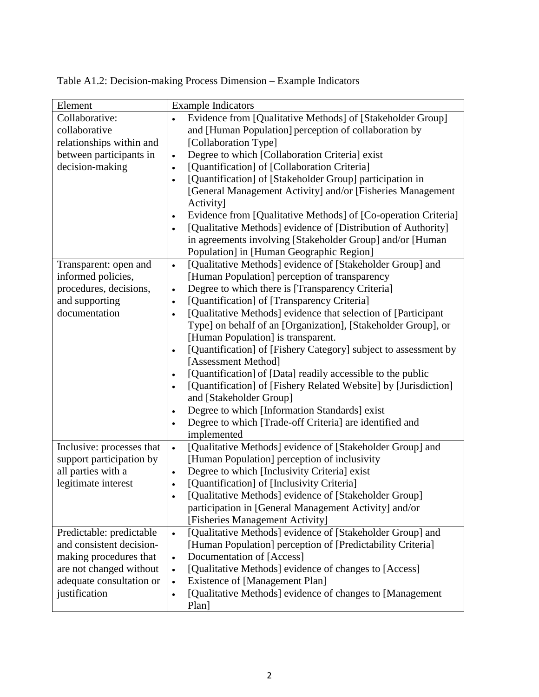| Element                                                                                                                        | <b>Example Indicators</b>                                                                                                                                                                                                                                                                                                                                                                                                                                                                                                                                                                                                                                                                                                                                                                                                                                                                                                                |  |  |
|--------------------------------------------------------------------------------------------------------------------------------|------------------------------------------------------------------------------------------------------------------------------------------------------------------------------------------------------------------------------------------------------------------------------------------------------------------------------------------------------------------------------------------------------------------------------------------------------------------------------------------------------------------------------------------------------------------------------------------------------------------------------------------------------------------------------------------------------------------------------------------------------------------------------------------------------------------------------------------------------------------------------------------------------------------------------------------|--|--|
| Collaborative:<br>collaborative<br>relationships within and<br>between participants in<br>decision-making                      | Evidence from [Qualitative Methods] of [Stakeholder Group]<br>$\bullet$<br>and [Human Population] perception of collaboration by<br>[Collaboration Type]<br>Degree to which [Collaboration Criteria] exist<br>$\bullet$<br>[Quantification] of [Collaboration Criteria]<br>$\bullet$<br>[Quantification] of [Stakeholder Group] participation in<br>$\bullet$<br>[General Management Activity] and/or [Fisheries Management<br>Activity]<br>Evidence from [Qualitative Methods] of [Co-operation Criteria]<br>$\bullet$<br>[Qualitative Methods] evidence of [Distribution of Authority]<br>$\bullet$<br>in agreements involving [Stakeholder Group] and/or [Human]                                                                                                                                                                                                                                                                      |  |  |
| Transparent: open and<br>informed policies,<br>procedures, decisions,<br>and supporting<br>documentation                       | Population] in [Human Geographic Region]<br>[Qualitative Methods] evidence of [Stakeholder Group] and<br>$\bullet$<br>[Human Population] perception of transparency<br>Degree to which there is [Transparency Criteria]<br>$\bullet$<br>[Quantification] of [Transparency Criteria]<br>$\bullet$<br>[Qualitative Methods] evidence that selection of [Participant<br>$\bullet$<br>Type] on behalf of an [Organization], [Stakeholder Group], or<br>[Human Population] is transparent.<br>[Quantification] of [Fishery Category] subject to assessment by<br>$\bullet$<br>[Assessment Method]<br>[Quantification] of [Data] readily accessible to the public<br>$\bullet$<br>[Quantification] of [Fishery Related Website] by [Jurisdiction]<br>$\bullet$<br>and [Stakeholder Group]<br>Degree to which [Information Standards] exist<br>$\bullet$<br>Degree to which [Trade-off Criteria] are identified and<br>$\bullet$<br>implemented |  |  |
| Inclusive: processes that<br>support participation by<br>all parties with a<br>legitimate interest<br>Predictable: predictable | [Qualitative Methods] evidence of [Stakeholder Group] and<br>$\bullet$<br>[Human Population] perception of inclusivity<br>Degree to which [Inclusivity Criteria] exist<br>$\bullet$<br>[Quantification] of [Inclusivity Criteria]<br>$\bullet$<br>[Qualitative Methods] evidence of [Stakeholder Group]<br>$\bullet$<br>participation in [General Management Activity] and/or<br>[Fisheries Management Activity]<br>[Qualitative Methods] evidence of [Stakeholder Group] and                                                                                                                                                                                                                                                                                                                                                                                                                                                            |  |  |
| and consistent decision-<br>making procedures that<br>are not changed without<br>adequate consultation or<br>justification     | $\bullet$<br>[Human Population] perception of [Predictability Criteria]<br>Documentation of [Access]<br>$\bullet$<br>[Qualitative Methods] evidence of changes to [Access]<br>$\bullet$<br>Existence of [Management Plan]<br>$\bullet$<br>[Qualitative Methods] evidence of changes to [Management]<br>$\bullet$<br>Plan]                                                                                                                                                                                                                                                                                                                                                                                                                                                                                                                                                                                                                |  |  |

Table A1.2: Decision-making Process Dimension – Example Indicators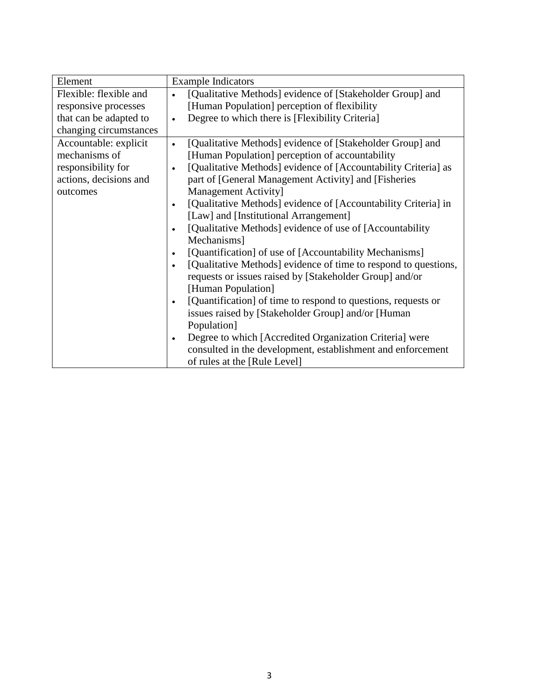| Element                | <b>Example Indicators</b>                                                    |  |
|------------------------|------------------------------------------------------------------------------|--|
| Flexible: flexible and | [Qualitative Methods] evidence of [Stakeholder Group] and<br>$\bullet$       |  |
| responsive processes   | [Human Population] perception of flexibility                                 |  |
| that can be adapted to | Degree to which there is [Flexibility Criteria]<br>$\bullet$                 |  |
| changing circumstances |                                                                              |  |
| Accountable: explicit  | [Qualitative Methods] evidence of [Stakeholder Group] and<br>$\bullet$       |  |
| mechanisms of          | [Human Population] perception of accountability                              |  |
| responsibility for     | [Qualitative Methods] evidence of [Accountability Criteria] as<br>$\bullet$  |  |
| actions, decisions and | part of [General Management Activity] and [Fisheries]                        |  |
| outcomes               | Management Activity]                                                         |  |
|                        | [Qualitative Methods] evidence of [Accountability Criteria] in<br>$\bullet$  |  |
|                        | [Law] and [Institutional Arrangement]                                        |  |
|                        | [Qualitative Methods] evidence of use of [Accountability]<br>$\bullet$       |  |
|                        | Mechanisms]                                                                  |  |
|                        | [Quantification] of use of [Accountability Mechanisms]<br>$\bullet$          |  |
|                        | [Qualitative Methods] evidence of time to respond to questions,<br>$\bullet$ |  |
|                        | requests or issues raised by [Stakeholder Group] and/or                      |  |
|                        | [Human Population]                                                           |  |
|                        | [Quantification] of time to respond to questions, requests or<br>$\bullet$   |  |
|                        | issues raised by [Stakeholder Group] and/or [Human]                          |  |
|                        | Population]                                                                  |  |
|                        | Degree to which [Accredited Organization Criteria] were<br>$\bullet$         |  |
|                        | consulted in the development, establishment and enforcement                  |  |
|                        | of rules at the [Rule Level]                                                 |  |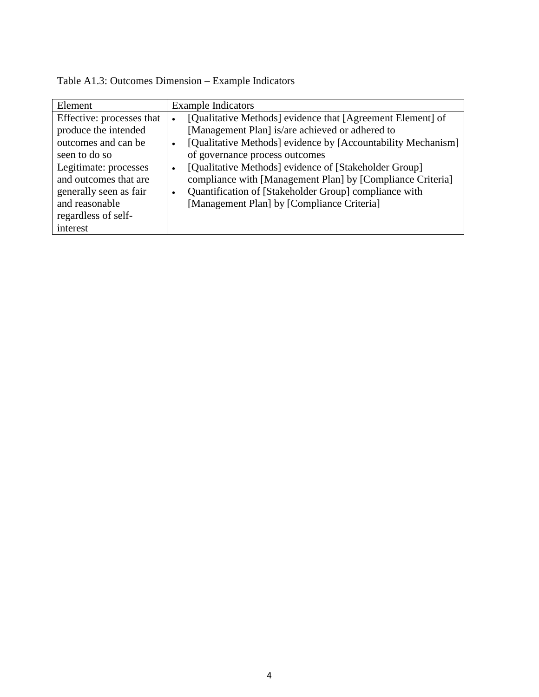| Element                                                                                                                       | <b>Example Indicators</b>                                                                                                                                                                                                       |  |
|-------------------------------------------------------------------------------------------------------------------------------|---------------------------------------------------------------------------------------------------------------------------------------------------------------------------------------------------------------------------------|--|
| Effective: processes that<br>produce the intended<br>outcomes and can be<br>seen to do so                                     | [Qualitative Methods] evidence that [Agreement Element] of<br>[Management Plan] is/are achieved or adhered to<br>[Qualitative Methods] evidence by [Accountability Mechanism]<br>$\bullet$<br>of governance process outcomes    |  |
| Legitimate: processes<br>and outcomes that are<br>generally seen as fair<br>and reasonable<br>regardless of self-<br>interest | [Qualitative Methods] evidence of [Stakeholder Group]<br>compliance with [Management Plan] by [Compliance Criteria]<br>Quantification of [Stakeholder Group] compliance with<br>٠<br>[Management Plan] by [Compliance Criteria] |  |

Table A1.3: Outcomes Dimension – Example Indicators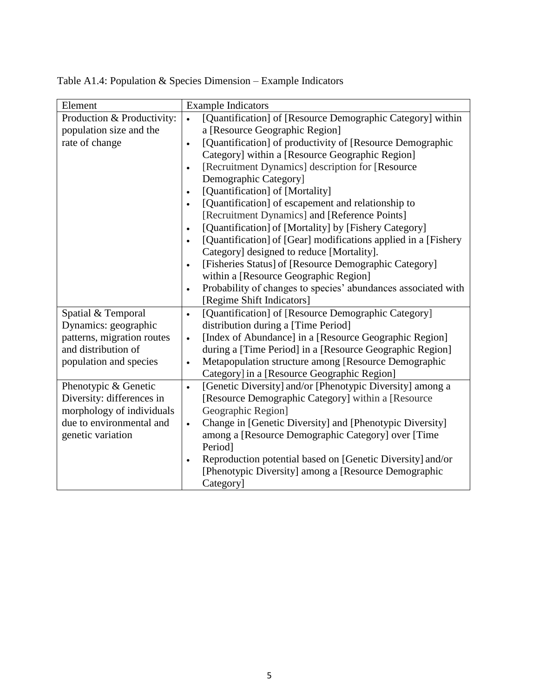| Element                    | <b>Example Indicators</b>                                               |                                                                 |  |
|----------------------------|-------------------------------------------------------------------------|-----------------------------------------------------------------|--|
| Production & Productivity: | [Quantification] of [Resource Demographic Category] within<br>$\bullet$ |                                                                 |  |
| population size and the    | a [Resource Geographic Region]                                          |                                                                 |  |
| rate of change             |                                                                         | [Quantification] of productivity of [Resource Demographic       |  |
|                            |                                                                         | Category] within a [Resource Geographic Region]                 |  |
|                            |                                                                         | [Recruitment Dynamics] description for [Resource]               |  |
|                            |                                                                         | Demographic Category                                            |  |
|                            |                                                                         | [Quantification] of [Mortality]                                 |  |
|                            |                                                                         | [Quantification] of escapement and relationship to              |  |
|                            |                                                                         | [Recruitment Dynamics] and [Reference Points]                   |  |
|                            |                                                                         | [Quantification] of [Mortality] by [Fishery Category]           |  |
|                            |                                                                         | [Quantification] of [Gear] modifications applied in a [Fishery] |  |
|                            |                                                                         | Category] designed to reduce [Mortality].                       |  |
|                            |                                                                         | [Fisheries Status] of [Resource Demographic Category]           |  |
|                            |                                                                         | within a [Resource Geographic Region]                           |  |
|                            |                                                                         | Probability of changes to species' abundances associated with   |  |
|                            |                                                                         | [Regime Shift Indicators]                                       |  |
| Spatial & Temporal         |                                                                         | [Quantification] of [Resource Demographic Category]             |  |
| Dynamics: geographic       |                                                                         | distribution during a [Time Period]                             |  |
| patterns, migration routes |                                                                         | [Index of Abundance] in a [Resource Geographic Region]          |  |
| and distribution of        |                                                                         | during a [Time Period] in a [Resource Geographic Region]        |  |
| population and species     |                                                                         | Metapopulation structure among [Resource Demographic            |  |
|                            |                                                                         | Category] in a [Resource Geographic Region]                     |  |
| Phenotypic & Genetic       |                                                                         | [Genetic Diversity] and/or [Phenotypic Diversity] among a       |  |
| Diversity: differences in  |                                                                         | [Resource Demographic Category] within a [Resource              |  |
| morphology of individuals  |                                                                         | Geographic Region]                                              |  |
| due to environmental and   |                                                                         | Change in [Genetic Diversity] and [Phenotypic Diversity]        |  |
| genetic variation          |                                                                         | among a [Resource Demographic Category] over [Time              |  |
|                            | Period]                                                                 |                                                                 |  |
|                            |                                                                         | Reproduction potential based on [Genetic Diversity] and/or      |  |
|                            |                                                                         | [Phenotypic Diversity] among a [Resource Demographic            |  |
|                            | Category]                                                               |                                                                 |  |

Table A1.4: Population & Species Dimension – Example Indicators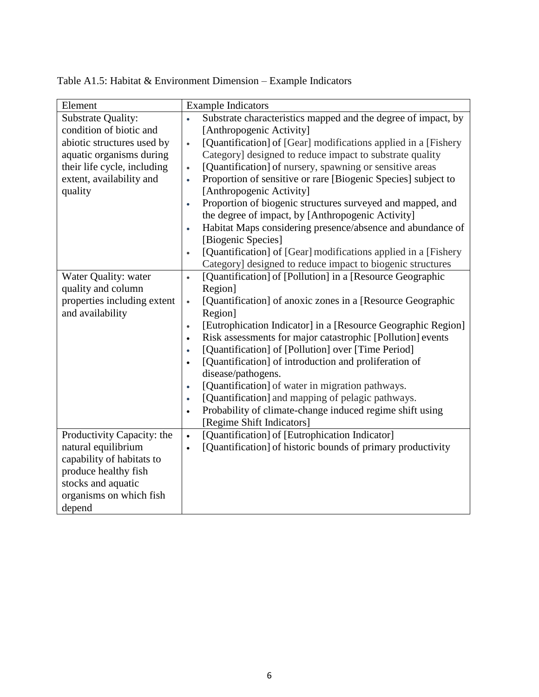| Element                     | <b>Example Indicators</b>                                                    |  |  |
|-----------------------------|------------------------------------------------------------------------------|--|--|
| <b>Substrate Quality:</b>   | Substrate characteristics mapped and the degree of impact, by<br>$\bullet$   |  |  |
| condition of biotic and     | [Anthropogenic Activity]                                                     |  |  |
| abiotic structures used by  | [Quantification] of [Gear] modifications applied in a [Fishery]<br>$\bullet$ |  |  |
| aquatic organisms during    | Category] designed to reduce impact to substrate quality                     |  |  |
| their life cycle, including | [Quantification] of nursery, spawning or sensitive areas<br>$\bullet$        |  |  |
| extent, availability and    | Proportion of sensitive or rare [Biogenic Species] subject to<br>$\bullet$   |  |  |
| quality                     | [Anthropogenic Activity]                                                     |  |  |
|                             | Proportion of biogenic structures surveyed and mapped, and<br>$\bullet$      |  |  |
|                             | the degree of impact, by [Anthropogenic Activity]                            |  |  |
|                             | Habitat Maps considering presence/absence and abundance of<br>$\bullet$      |  |  |
|                             | [Biogenic Species]                                                           |  |  |
|                             | [Quantification] of [Gear] modifications applied in a [Fishery]<br>$\bullet$ |  |  |
|                             | Category] designed to reduce impact to biogenic structures                   |  |  |
| Water Quality: water        | [Quantification] of [Pollution] in a [Resource Geographic<br>$\bullet$       |  |  |
| quality and column          | Region]                                                                      |  |  |
| properties including extent | [Quantification] of anoxic zones in a [Resource Geographic<br>$\bullet$      |  |  |
| and availability            | Region]                                                                      |  |  |
|                             | [Eutrophication Indicator] in a [Resource Geographic Region]<br>$\bullet$    |  |  |
|                             | Risk assessments for major catastrophic [Pollution] events<br>$\bullet$      |  |  |
|                             | [Quantification] of [Pollution] over [Time Period]<br>$\bullet$              |  |  |
|                             | [Quantification] of introduction and proliferation of<br>$\bullet$           |  |  |
|                             | disease/pathogens.                                                           |  |  |
|                             | [Quantification] of water in migration pathways.<br>$\bullet$                |  |  |
|                             | [Quantification] and mapping of pelagic pathways.<br>$\bullet$               |  |  |
|                             | Probability of climate-change induced regime shift using<br>$\bullet$        |  |  |
|                             | [Regime Shift Indicators]                                                    |  |  |
| Productivity Capacity: the  | [Quantification] of [Eutrophication Indicator]<br>$\bullet$                  |  |  |
| natural equilibrium         | [Quantification] of historic bounds of primary productivity<br>$\bullet$     |  |  |
| capability of habitats to   |                                                                              |  |  |
| produce healthy fish        |                                                                              |  |  |
| stocks and aquatic          |                                                                              |  |  |
| organisms on which fish     |                                                                              |  |  |
| depend                      |                                                                              |  |  |

Table A1.5: Habitat & Environment Dimension – Example Indicators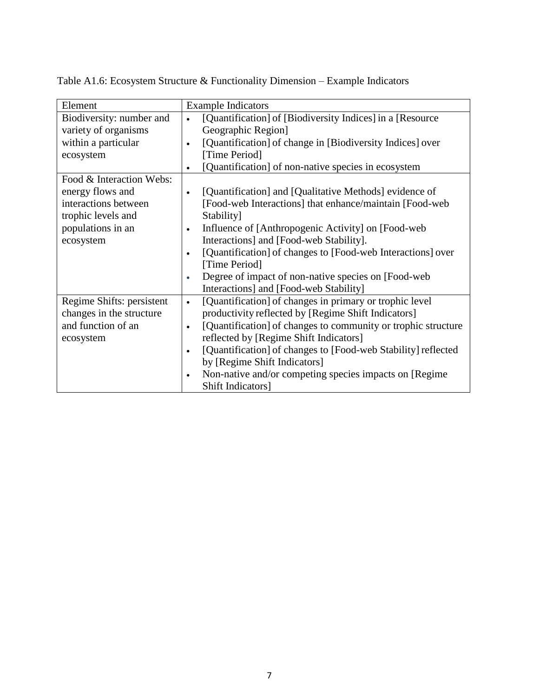| Element                   | <b>Example Indicators</b>                                                  |  |
|---------------------------|----------------------------------------------------------------------------|--|
| Biodiversity: number and  | [Quantification] of [Biodiversity Indices] in a [Resource]<br>$\bullet$    |  |
| variety of organisms      | Geographic Region]                                                         |  |
| within a particular       | [Quantification] of change in [Biodiversity Indices] over<br>$\bullet$     |  |
| ecosystem                 | [Time Period]                                                              |  |
|                           | [Quantification] of non-native species in ecosystem<br>$\bullet$           |  |
| Food & Interaction Webs:  |                                                                            |  |
| energy flows and          | [Quantification] and [Qualitative Methods] evidence of<br>$\bullet$        |  |
| interactions between      | [Food-web Interactions] that enhance/maintain [Food-web]                   |  |
| trophic levels and        | Stability]                                                                 |  |
| populations in an         | Influence of [Anthropogenic Activity] on [Food-web]<br>$\bullet$           |  |
| ecosystem                 | Interactions] and [Food-web Stability].                                    |  |
|                           | [Quantification] of changes to [Food-web Interactions] over<br>$\bullet$   |  |
|                           | [Time Period]                                                              |  |
|                           | Degree of impact of non-native species on [Food-web]<br>$\bullet$          |  |
|                           | Interactions] and [Food-web Stability]                                     |  |
| Regime Shifts: persistent | [Quantification] of changes in primary or trophic level<br>$\bullet$       |  |
| changes in the structure  | productivity reflected by [Regime Shift Indicators]                        |  |
| and function of an        | [Quantification] of changes to community or trophic structure<br>$\bullet$ |  |
| ecosystem                 | reflected by [Regime Shift Indicators]                                     |  |
|                           | [Quantification] of changes to [Food-web Stability] reflected<br>$\bullet$ |  |
|                           | by [Regime Shift Indicators]                                               |  |
|                           | Non-native and/or competing species impacts on [Regime]<br>$\bullet$       |  |
|                           | Shift Indicators]                                                          |  |

Table A1.6: Ecosystem Structure & Functionality Dimension – Example Indicators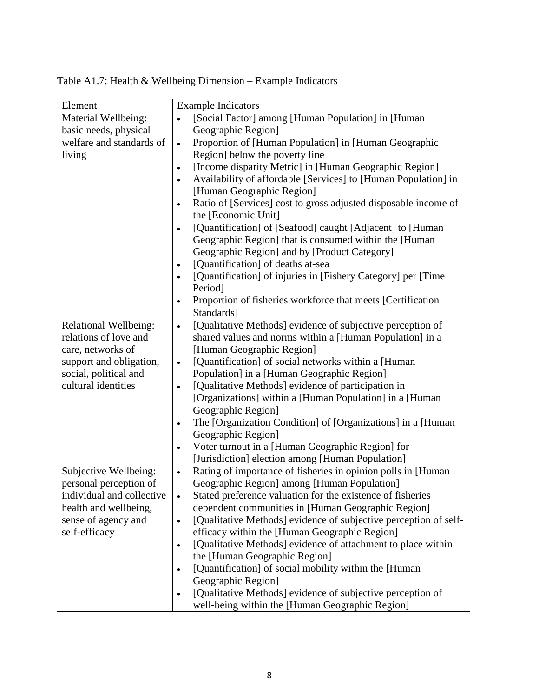| Element                                                                                                                                               | <b>Example Indicators</b>                                                                                                                                                                                                                                                                                                                                                                                                                                                                                                                                                                                                                                                                                                                                                                                                                                                               |
|-------------------------------------------------------------------------------------------------------------------------------------------------------|-----------------------------------------------------------------------------------------------------------------------------------------------------------------------------------------------------------------------------------------------------------------------------------------------------------------------------------------------------------------------------------------------------------------------------------------------------------------------------------------------------------------------------------------------------------------------------------------------------------------------------------------------------------------------------------------------------------------------------------------------------------------------------------------------------------------------------------------------------------------------------------------|
| Material Wellbeing:<br>basic needs, physical<br>welfare and standards of<br>living                                                                    | [Social Factor] among [Human Population] in [Human<br>$\bullet$<br>Geographic Region]<br>Proportion of [Human Population] in [Human Geographic<br>$\bullet$<br>Region] below the poverty line<br>[Income disparity Metric] in [Human Geographic Region]<br>$\bullet$<br>Availability of affordable [Services] to [Human Population] in<br>[Human Geographic Region]<br>Ratio of [Services] cost to gross adjusted disposable income of<br>$\bullet$<br>the [Economic Unit]<br>[Quantification] of [Seafood] caught [Adjacent] to [Human<br>Geographic Region] that is consumed within the [Human]<br>Geographic Region] and by [Product Category]<br>[Quantification] of deaths at-sea<br>$\bullet$<br>[Quantification] of injuries in [Fishery Category] per [Time]<br>$\bullet$<br>Period]<br>Proportion of fisheries workforce that meets [Certification]<br>$\bullet$<br>Standards] |
| <b>Relational Wellbeing:</b><br>relations of love and<br>care, networks of<br>support and obligation,<br>social, political and<br>cultural identities | [Qualitative Methods] evidence of subjective perception of<br>$\bullet$<br>shared values and norms within a [Human Population] in a<br>[Human Geographic Region]<br>[Quantification] of social networks within a [Human]<br>$\bullet$<br>Population] in a [Human Geographic Region]<br>[Qualitative Methods] evidence of participation in<br>$\bullet$<br>[Organizations] within a [Human Population] in a [Human<br>Geographic Region]<br>The [Organization Condition] of [Organizations] in a [Human]<br>$\bullet$<br>Geographic Region]<br>Voter turnout in a [Human Geographic Region] for<br>$\bullet$<br>[Jurisdiction] election among [Human Population]                                                                                                                                                                                                                         |
| Subjective Wellbeing:<br>personal perception of<br>individual and collective<br>health and wellbeing,<br>sense of agency and<br>self-efficacy         | Rating of importance of fisheries in opinion polls in [Human]<br>$\bullet$<br>Geographic Region] among [Human Population]<br>Stated preference valuation for the existence of fisheries<br>$\bullet$<br>dependent communities in [Human Geographic Region]<br>[Qualitative Methods] evidence of subjective perception of self-<br>$\bullet$<br>efficacy within the [Human Geographic Region]<br>[Qualitative Methods] evidence of attachment to place within<br>$\bullet$<br>the [Human Geographic Region]<br>[Quantification] of social mobility within the [Human]<br>$\bullet$<br>Geographic Region]<br>[Qualitative Methods] evidence of subjective perception of<br>well-being within the [Human Geographic Region]                                                                                                                                                                |

Table A1.7: Health & Wellbeing Dimension – Example Indicators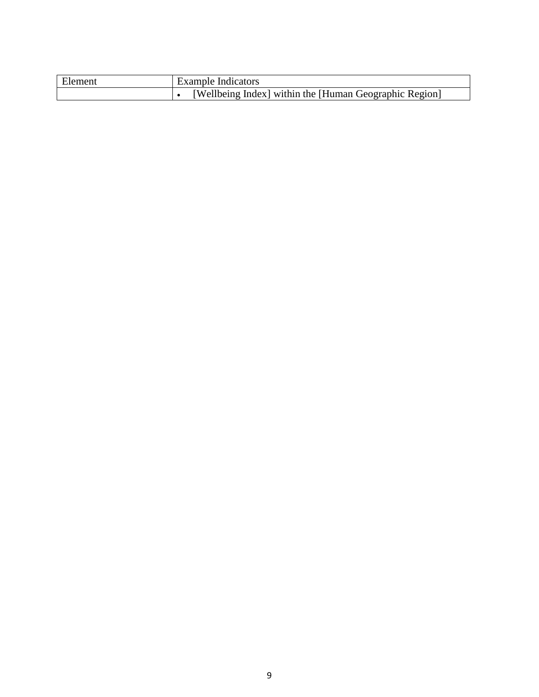| Element | <b>Example Indicators</b>                              |  |
|---------|--------------------------------------------------------|--|
|         | [Wellbeing Index] within the [Human Geographic Region] |  |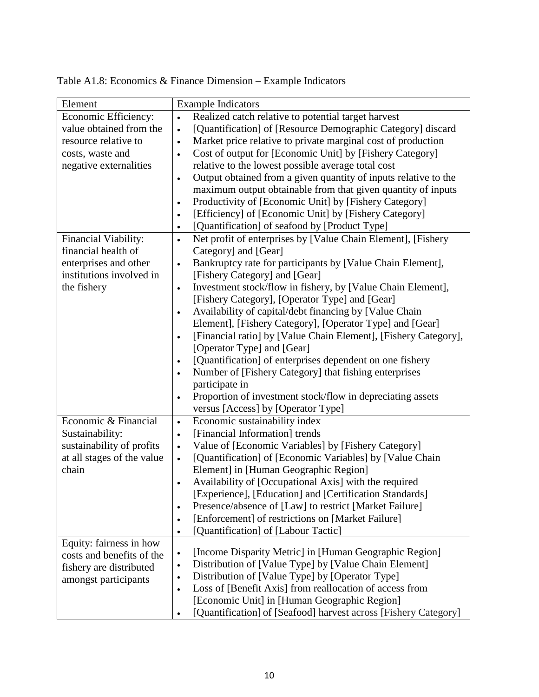| Element                    | <b>Example Indicators</b>                                                    |  |
|----------------------------|------------------------------------------------------------------------------|--|
| Economic Efficiency:       | Realized catch relative to potential target harvest<br>$\bullet$             |  |
| value obtained from the    | [Quantification] of [Resource Demographic Category] discard<br>$\bullet$     |  |
| resource relative to       | Market price relative to private marginal cost of production<br>$\bullet$    |  |
| costs, waste and           | Cost of output for [Economic Unit] by [Fishery Category]<br>$\bullet$        |  |
| negative externalities     | relative to the lowest possible average total cost                           |  |
|                            | Output obtained from a given quantity of inputs relative to the<br>$\bullet$ |  |
|                            | maximum output obtainable from that given quantity of inputs                 |  |
|                            | Productivity of [Economic Unit] by [Fishery Category]<br>$\bullet$           |  |
|                            | [Efficiency] of [Economic Unit] by [Fishery Category]<br>$\bullet$           |  |
|                            | [Quantification] of seafood by [Product Type]<br>$\bullet$                   |  |
| Financial Viability:       | Net profit of enterprises by [Value Chain Element], [Fishery<br>$\bullet$    |  |
| financial health of        | Category] and [Gear]                                                         |  |
| enterprises and other      | Bankruptcy rate for participants by [Value Chain Element],<br>$\bullet$      |  |
| institutions involved in   | [Fishery Category] and [Gear]                                                |  |
| the fishery                | Investment stock/flow in fishery, by [Value Chain Element],<br>$\bullet$     |  |
|                            | [Fishery Category], [Operator Type] and [Gear]                               |  |
|                            | Availability of capital/debt financing by [Value Chain<br>$\bullet$          |  |
|                            | Element], [Fishery Category], [Operator Type] and [Gear]                     |  |
|                            | [Financial ratio] by [Value Chain Element], [Fishery Category],<br>$\bullet$ |  |
|                            | [Operator Type] and [Gear]                                                   |  |
|                            | [Quantification] of enterprises dependent on one fishery<br>$\bullet$        |  |
|                            | Number of [Fishery Category] that fishing enterprises<br>$\bullet$           |  |
|                            | participate in                                                               |  |
|                            | Proportion of investment stock/flow in depreciating assets<br>$\bullet$      |  |
|                            | versus [Access] by [Operator Type]                                           |  |
| Economic & Financial       | Economic sustainability index<br>$\bullet$                                   |  |
| Sustainability:            | [Financial Information] trends<br>$\bullet$                                  |  |
| sustainability of profits  | Value of [Economic Variables] by [Fishery Category]<br>$\bullet$             |  |
| at all stages of the value | [Quantification] of [Economic Variables] by [Value Chain<br>$\bullet$        |  |
| chain                      | Element] in [Human Geographic Region]                                        |  |
|                            | Availability of [Occupational Axis] with the required<br>$\bullet$           |  |
|                            | [Experience], [Education] and [Certification Standards]                      |  |
|                            | Presence/absence of [Law] to restrict [Market Failure]                       |  |
|                            | [Enforcement] of restrictions on [Market Failure]<br>$\bullet$               |  |
|                            | [Quantification] of [Labour Tactic]<br>$\bullet$                             |  |
| Equity: fairness in how    |                                                                              |  |
| costs and benefits of the  | [Income Disparity Metric] in [Human Geographic Region]<br>$\bullet$          |  |
| fishery are distributed    | Distribution of [Value Type] by [Value Chain Element]<br>$\bullet$           |  |
| amongst participants       | Distribution of [Value Type] by [Operator Type]<br>$\bullet$                 |  |
|                            | Loss of [Benefit Axis] from reallocation of access from<br>$\bullet$         |  |
|                            | [Economic Unit] in [Human Geographic Region]                                 |  |
|                            | [Quantification] of [Seafood] harvest across [Fishery Category]              |  |

Table A1.8: Economics & Finance Dimension – Example Indicators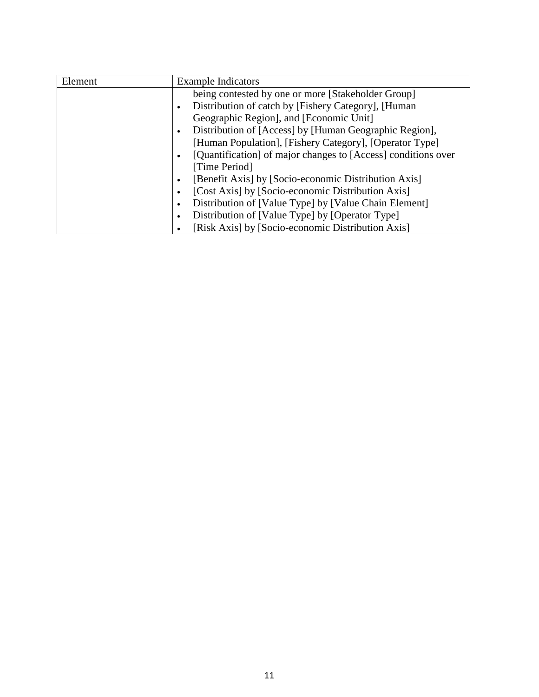| Element | <b>Example Indicators</b>                                     |
|---------|---------------------------------------------------------------|
|         | being contested by one or more [Stakeholder Group]            |
|         | Distribution of catch by [Fishery Category], [Human]          |
|         | Geographic Region], and [Economic Unit]                       |
|         | Distribution of [Access] by [Human Geographic Region],        |
|         | [Human Population], [Fishery Category], [Operator Type]       |
|         | [Quantification] of major changes to [Access] conditions over |
|         | [Time Period]                                                 |
|         | [Benefit Axis] by [Socio-economic Distribution Axis]          |
|         | [Cost Axis] by [Socio-economic Distribution Axis]             |
|         | Distribution of [Value Type] by [Value Chain Element]         |
|         | Distribution of [Value Type] by [Operator Type]               |
|         | [Risk Axis] by [Socio-economic Distribution Axis]             |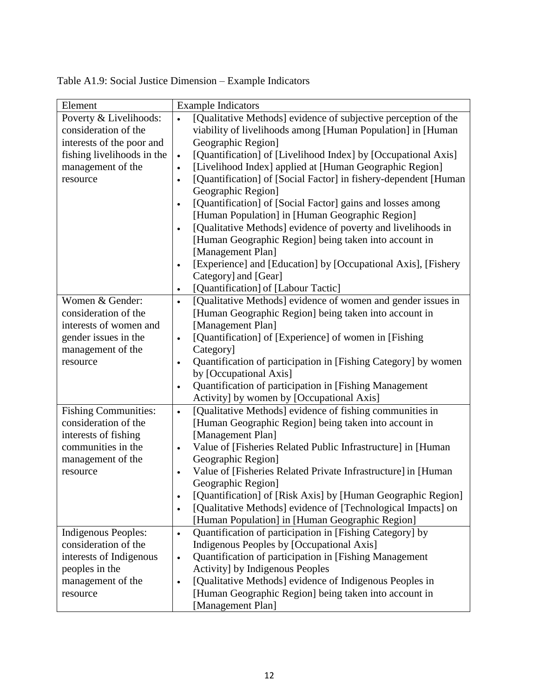| Element                     | <b>Example Indicators</b>                                                     |  |
|-----------------------------|-------------------------------------------------------------------------------|--|
| Poverty & Livelihoods:      | [Qualitative Methods] evidence of subjective perception of the<br>$\bullet$   |  |
| consideration of the        | viability of livelihoods among [Human Population] in [Human                   |  |
| interests of the poor and   | Geographic Region]                                                            |  |
| fishing livelihoods in the  | [Quantification] of [Livelihood Index] by [Occupational Axis]<br>$\bullet$    |  |
| management of the           | [Livelihood Index] applied at [Human Geographic Region]<br>$\bullet$          |  |
| resource                    | [Quantification] of [Social Factor] in fishery-dependent [Human]<br>$\bullet$ |  |
|                             | Geographic Region]                                                            |  |
|                             | [Quantification] of [Social Factor] gains and losses among<br>$\bullet$       |  |
|                             | [Human Population] in [Human Geographic Region]                               |  |
|                             | [Qualitative Methods] evidence of poverty and livelihoods in                  |  |
|                             | $\bullet$                                                                     |  |
|                             | [Human Geographic Region] being taken into account in                         |  |
|                             | [Management Plan]                                                             |  |
|                             | [Experience] and [Education] by [Occupational Axis], [Fishery]<br>$\bullet$   |  |
|                             | Category] and [Gear]                                                          |  |
|                             | [Quantification] of [Labour Tactic]<br>$\bullet$                              |  |
| Women & Gender:             | [Qualitative Methods] evidence of women and gender issues in<br>$\bullet$     |  |
| consideration of the        | [Human Geographic Region] being taken into account in                         |  |
| interests of women and      | [Management Plan]                                                             |  |
| gender issues in the        | [Quantification] of [Experience] of women in [Fishing]<br>$\bullet$           |  |
| management of the           | Category]                                                                     |  |
| resource                    | Quantification of participation in [Fishing Category] by women<br>$\bullet$   |  |
|                             | by [Occupational Axis]                                                        |  |
|                             | Quantification of participation in [Fishing Management<br>$\bullet$           |  |
|                             | Activity] by women by [Occupational Axis]                                     |  |
| <b>Fishing Communities:</b> | [Qualitative Methods] evidence of fishing communities in<br>$\bullet$         |  |
| consideration of the        | [Human Geographic Region] being taken into account in                         |  |
| interests of fishing        | [Management Plan]                                                             |  |
| communities in the          | Value of [Fisheries Related Public Infrastructure] in [Human]<br>$\bullet$    |  |
| management of the           | Geographic Region]                                                            |  |
| resource                    | Value of [Fisheries Related Private Infrastructure] in [Human]                |  |
|                             | Geographic Region]                                                            |  |
|                             | [Quantification] of [Risk Axis] by [Human Geographic Region]                  |  |
|                             | [Qualitative Methods] evidence of [Technological Impacts] on<br>$\bullet$     |  |
|                             | [Human Population] in [Human Geographic Region]                               |  |
| <b>Indigenous Peoples:</b>  | Quantification of participation in [Fishing Category] by<br>$\bullet$         |  |
| consideration of the        | Indigenous Peoples by [Occupational Axis]                                     |  |
| interests of Indigenous     | Quantification of participation in [Fishing Management                        |  |
| peoples in the              | $\bullet$<br>Activity] by Indigenous Peoples                                  |  |
|                             | [Qualitative Methods] evidence of Indigenous Peoples in                       |  |
| management of the           | $\bullet$                                                                     |  |
| resource                    | [Human Geographic Region] being taken into account in                         |  |
|                             | [Management Plan]                                                             |  |

Table A1.9: Social Justice Dimension – Example Indicators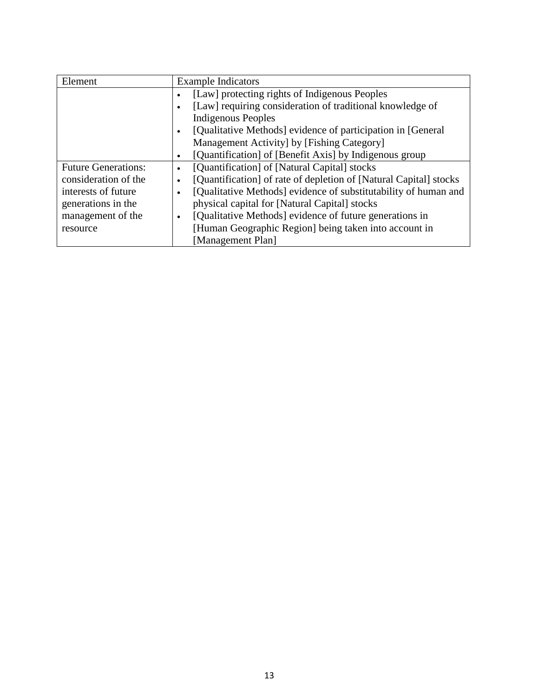| Element                    | <b>Example Indicators</b>                                              |
|----------------------------|------------------------------------------------------------------------|
|                            | [Law] protecting rights of Indigenous Peoples                          |
|                            | [Law] requiring consideration of traditional knowledge of              |
|                            | Indigenous Peoples                                                     |
|                            | [Qualitative Methods] evidence of participation in [General]           |
|                            | Management Activity] by [Fishing Category]                             |
|                            | [Quantification] of [Benefit Axis] by Indigenous group                 |
| <b>Future Generations:</b> | [Quantification] of [Natural Capital] stocks                           |
| consideration of the       | [Quantification] of rate of depletion of [Natural Capital] stocks<br>٠ |
| interests of future        | [Qualitative Methods] evidence of substitutability of human and        |
| generations in the         | physical capital for [Natural Capital] stocks                          |
| management of the          | [Qualitative Methods] evidence of future generations in<br>٠           |
| resource                   | [Human Geographic Region] being taken into account in                  |
|                            | [Management Plan]                                                      |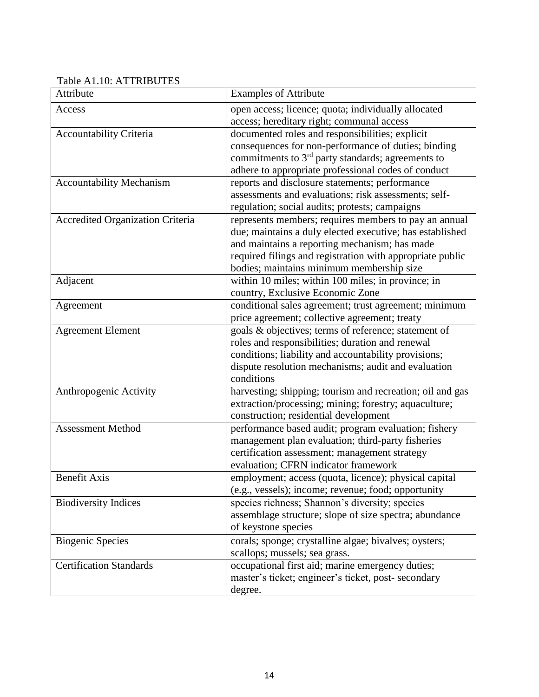Table A1.10: ATTRIBUTES

| Attribute                        | <b>Examples of Attribute</b>                                                                                                                                                                                                                                                 |
|----------------------------------|------------------------------------------------------------------------------------------------------------------------------------------------------------------------------------------------------------------------------------------------------------------------------|
| Access                           | open access; licence; quota; individually allocated<br>access; hereditary right; communal access                                                                                                                                                                             |
| <b>Accountability Criteria</b>   | documented roles and responsibilities; explicit<br>consequences for non-performance of duties; binding<br>commitments to $3rd$ party standards; agreements to<br>adhere to appropriate professional codes of conduct                                                         |
| <b>Accountability Mechanism</b>  | reports and disclosure statements; performance<br>assessments and evaluations; risk assessments; self-<br>regulation; social audits; protests; campaigns                                                                                                                     |
| Accredited Organization Criteria | represents members; requires members to pay an annual<br>due; maintains a duly elected executive; has established<br>and maintains a reporting mechanism; has made<br>required filings and registration with appropriate public<br>bodies; maintains minimum membership size |
| Adjacent                         | within 10 miles; within 100 miles; in province; in<br>country, Exclusive Economic Zone                                                                                                                                                                                       |
| Agreement                        | conditional sales agreement; trust agreement; minimum<br>price agreement; collective agreement; treaty                                                                                                                                                                       |
| <b>Agreement Element</b>         | goals & objectives; terms of reference; statement of<br>roles and responsibilities; duration and renewal<br>conditions; liability and accountability provisions;<br>dispute resolution mechanisms; audit and evaluation<br>conditions                                        |
| Anthropogenic Activity           | harvesting; shipping; tourism and recreation; oil and gas<br>extraction/processing; mining; forestry; aquaculture;<br>construction; residential development                                                                                                                  |
| <b>Assessment Method</b>         | performance based audit; program evaluation; fishery<br>management plan evaluation; third-party fisheries<br>certification assessment; management strategy<br>evaluation; CFRN indicator framework                                                                           |
| <b>Benefit Axis</b>              | employment; access (quota, licence); physical capital<br>(e.g., vessels); income; revenue; food; opportunity                                                                                                                                                                 |
| <b>Biodiversity Indices</b>      | species richness; Shannon's diversity; species<br>assemblage structure; slope of size spectra; abundance<br>of keystone species                                                                                                                                              |
| <b>Biogenic Species</b>          | corals; sponge; crystalline algae; bivalves; oysters;<br>scallops; mussels; sea grass.                                                                                                                                                                                       |
| <b>Certification Standards</b>   | occupational first aid; marine emergency duties;<br>master's ticket; engineer's ticket, post-secondary<br>degree.                                                                                                                                                            |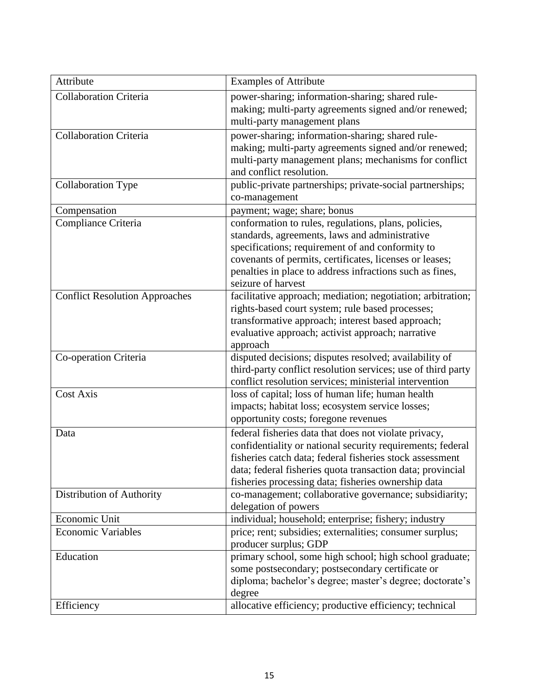| Attribute                             | <b>Examples of Attribute</b>                                                                                                                                                                                                                                                                            |
|---------------------------------------|---------------------------------------------------------------------------------------------------------------------------------------------------------------------------------------------------------------------------------------------------------------------------------------------------------|
| <b>Collaboration Criteria</b>         | power-sharing; information-sharing; shared rule-<br>making; multi-party agreements signed and/or renewed;<br>multi-party management plans                                                                                                                                                               |
| <b>Collaboration Criteria</b>         | power-sharing; information-sharing; shared rule-<br>making; multi-party agreements signed and/or renewed;<br>multi-party management plans; mechanisms for conflict<br>and conflict resolution.                                                                                                          |
| <b>Collaboration Type</b>             | public-private partnerships; private-social partnerships;<br>co-management                                                                                                                                                                                                                              |
| Compensation                          | payment; wage; share; bonus                                                                                                                                                                                                                                                                             |
| Compliance Criteria                   | conformation to rules, regulations, plans, policies,<br>standards, agreements, laws and administrative<br>specifications; requirement of and conformity to<br>covenants of permits, certificates, licenses or leases;<br>penalties in place to address infractions such as fines,<br>seizure of harvest |
| <b>Conflict Resolution Approaches</b> | facilitative approach; mediation; negotiation; arbitration;<br>rights-based court system; rule based processes;<br>transformative approach; interest based approach;<br>evaluative approach; activist approach; narrative<br>approach                                                                   |
| Co-operation Criteria                 | disputed decisions; disputes resolved; availability of<br>third-party conflict resolution services; use of third party<br>conflict resolution services; ministerial intervention                                                                                                                        |
| <b>Cost Axis</b>                      | loss of capital; loss of human life; human health<br>impacts; habitat loss; ecosystem service losses;<br>opportunity costs; foregone revenues                                                                                                                                                           |
| Data                                  | federal fisheries data that does not violate privacy,<br>confidentiality or national security requirements; federal<br>fisheries catch data; federal fisheries stock assessment<br>data; federal fisheries quota transaction data; provincial<br>fisheries processing data; fisheries ownership data    |
| Distribution of Authority             | co-management; collaborative governance; subsidiarity;<br>delegation of powers                                                                                                                                                                                                                          |
| Economic Unit                         | individual; household; enterprise; fishery; industry                                                                                                                                                                                                                                                    |
| <b>Economic Variables</b>             | price; rent; subsidies; externalities; consumer surplus;<br>producer surplus; GDP                                                                                                                                                                                                                       |
| Education                             | primary school, some high school; high school graduate;<br>some postsecondary; postsecondary certificate or<br>diploma; bachelor's degree; master's degree; doctorate's<br>degree                                                                                                                       |
| Efficiency                            | allocative efficiency; productive efficiency; technical                                                                                                                                                                                                                                                 |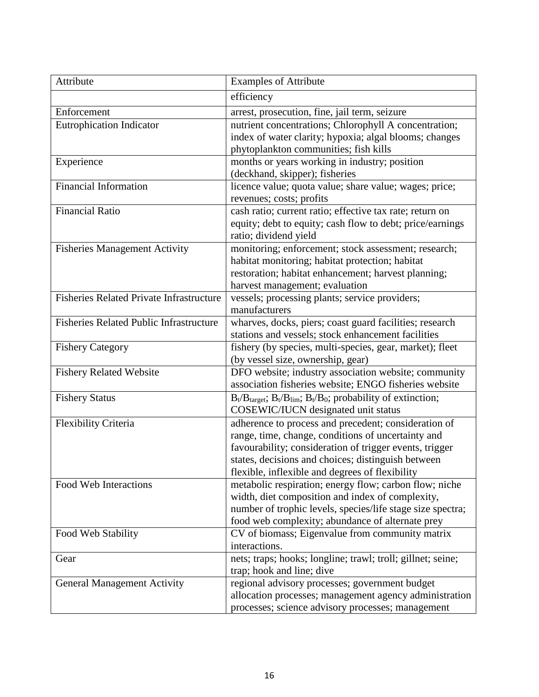| Attribute                                       | <b>Examples of Attribute</b>                                                                                                                                                                                                                                                   |
|-------------------------------------------------|--------------------------------------------------------------------------------------------------------------------------------------------------------------------------------------------------------------------------------------------------------------------------------|
|                                                 | efficiency                                                                                                                                                                                                                                                                     |
| Enforcement                                     | arrest, prosecution, fine, jail term, seizure                                                                                                                                                                                                                                  |
| Eutrophication Indicator                        | nutrient concentrations; Chlorophyll A concentration;<br>index of water clarity; hypoxia; algal blooms; changes                                                                                                                                                                |
|                                                 | phytoplankton communities; fish kills                                                                                                                                                                                                                                          |
| Experience                                      | months or years working in industry; position<br>(deckhand, skipper); fisheries                                                                                                                                                                                                |
| <b>Financial Information</b>                    | licence value; quota value; share value; wages; price;<br>revenues; costs; profits                                                                                                                                                                                             |
| <b>Financial Ratio</b>                          | cash ratio; current ratio; effective tax rate; return on<br>equity; debt to equity; cash flow to debt; price/earnings<br>ratio; dividend yield                                                                                                                                 |
| <b>Fisheries Management Activity</b>            | monitoring; enforcement; stock assessment; research;<br>habitat monitoring; habitat protection; habitat<br>restoration; habitat enhancement; harvest planning;<br>harvest management; evaluation                                                                               |
| <b>Fisheries Related Private Infrastructure</b> | vessels; processing plants; service providers;<br>manufacturers                                                                                                                                                                                                                |
| <b>Fisheries Related Public Infrastructure</b>  | wharves, docks, piers; coast guard facilities; research<br>stations and vessels; stock enhancement facilities                                                                                                                                                                  |
| <b>Fishery Category</b>                         | fishery (by species, multi-species, gear, market); fleet<br>(by vessel size, ownership, gear)                                                                                                                                                                                  |
| <b>Fishery Related Website</b>                  | DFO website; industry association website; community<br>association fisheries website; ENGO fisheries website                                                                                                                                                                  |
| <b>Fishery Status</b>                           | $B_t/B_{target}$ ; $B_t/B_{lim}$ ; $B_t/B_0$ ; probability of extinction;<br>COSEWIC/IUCN designated unit status                                                                                                                                                               |
| <b>Flexibility Criteria</b>                     | adherence to process and precedent; consideration of<br>range, time, change, conditions of uncertainty and<br>favourability; consideration of trigger events, trigger<br>states, decisions and choices; distinguish between<br>flexible, inflexible and degrees of flexibility |
| Food Web Interactions                           | metabolic respiration; energy flow; carbon flow; niche<br>width, diet composition and index of complexity,<br>number of trophic levels, species/life stage size spectra;<br>food web complexity; abundance of alternate prey                                                   |
| Food Web Stability                              | CV of biomass; Eigenvalue from community matrix<br>interactions.                                                                                                                                                                                                               |
| Gear                                            | nets; traps; hooks; longline; trawl; troll; gillnet; seine;<br>trap; hook and line; dive                                                                                                                                                                                       |
| <b>General Management Activity</b>              | regional advisory processes; government budget<br>allocation processes; management agency administration<br>processes; science advisory processes; management                                                                                                                  |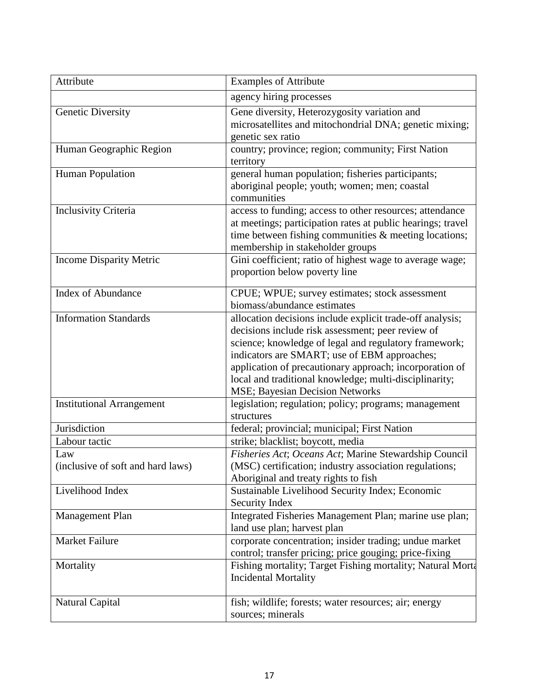| Attribute                                | <b>Examples of Attribute</b>                                                                                                                                                                                                                                                                                                                                                    |
|------------------------------------------|---------------------------------------------------------------------------------------------------------------------------------------------------------------------------------------------------------------------------------------------------------------------------------------------------------------------------------------------------------------------------------|
|                                          | agency hiring processes                                                                                                                                                                                                                                                                                                                                                         |
| <b>Genetic Diversity</b>                 | Gene diversity, Heterozygosity variation and<br>microsatellites and mitochondrial DNA; genetic mixing;<br>genetic sex ratio                                                                                                                                                                                                                                                     |
| Human Geographic Region                  | country; province; region; community; First Nation<br>territory                                                                                                                                                                                                                                                                                                                 |
| <b>Human Population</b>                  | general human population; fisheries participants;<br>aboriginal people; youth; women; men; coastal<br>communities                                                                                                                                                                                                                                                               |
| <b>Inclusivity Criteria</b>              | access to funding; access to other resources; attendance<br>at meetings; participation rates at public hearings; travel<br>time between fishing communities & meeting locations;<br>membership in stakeholder groups                                                                                                                                                            |
| <b>Income Disparity Metric</b>           | Gini coefficient; ratio of highest wage to average wage;<br>proportion below poverty line                                                                                                                                                                                                                                                                                       |
| Index of Abundance                       | CPUE; WPUE; survey estimates; stock assessment<br>biomass/abundance estimates                                                                                                                                                                                                                                                                                                   |
| <b>Information Standards</b>             | allocation decisions include explicit trade-off analysis;<br>decisions include risk assessment; peer review of<br>science; knowledge of legal and regulatory framework;<br>indicators are SMART; use of EBM approaches;<br>application of precautionary approach; incorporation of<br>local and traditional knowledge; multi-disciplinarity;<br>MSE; Bayesian Decision Networks |
| <b>Institutional Arrangement</b>         | legislation; regulation; policy; programs; management<br>structures                                                                                                                                                                                                                                                                                                             |
| Jurisdiction                             | federal; provincial; municipal; First Nation                                                                                                                                                                                                                                                                                                                                    |
| Labour tactic                            | strike; blacklist; boycott, media                                                                                                                                                                                                                                                                                                                                               |
| Law<br>(inclusive of soft and hard laws) | Fisheries Act; Oceans Act; Marine Stewardship Council<br>(MSC) certification; industry association regulations;<br>Aboriginal and treaty rights to fish                                                                                                                                                                                                                         |
| Livelihood Index                         | Sustainable Livelihood Security Index; Economic<br>Security Index                                                                                                                                                                                                                                                                                                               |
| Management Plan                          | Integrated Fisheries Management Plan; marine use plan;<br>land use plan; harvest plan                                                                                                                                                                                                                                                                                           |
| Market Failure                           | corporate concentration; insider trading; undue market<br>control; transfer pricing; price gouging; price-fixing                                                                                                                                                                                                                                                                |
| Mortality                                | Fishing mortality; Target Fishing mortality; Natural Morta<br><b>Incidental Mortality</b>                                                                                                                                                                                                                                                                                       |
| Natural Capital                          | fish; wildlife; forests; water resources; air; energy<br>sources; minerals                                                                                                                                                                                                                                                                                                      |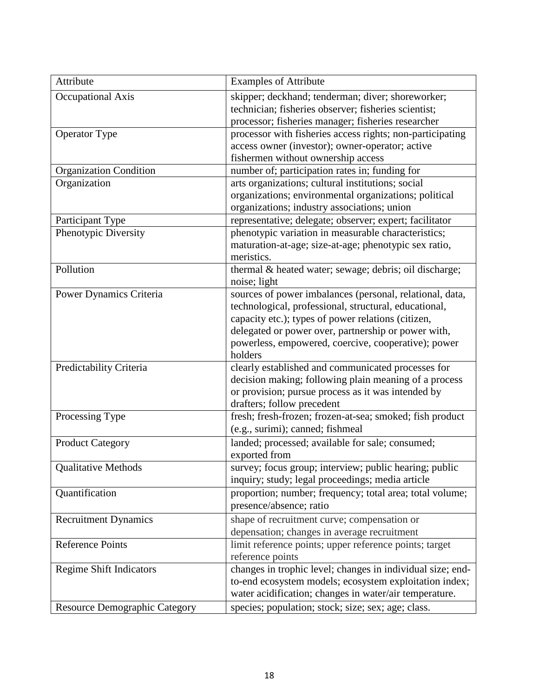| Attribute                            | <b>Examples of Attribute</b>                                                                              |
|--------------------------------------|-----------------------------------------------------------------------------------------------------------|
| Occupational Axis                    | skipper; deckhand; tenderman; diver; shoreworker;<br>technician; fisheries observer; fisheries scientist; |
|                                      | processor; fisheries manager; fisheries researcher                                                        |
| <b>Operator Type</b>                 | processor with fisheries access rights; non-participating                                                 |
|                                      | access owner (investor); owner-operator; active                                                           |
|                                      | fishermen without ownership access                                                                        |
| <b>Organization Condition</b>        | number of; participation rates in; funding for                                                            |
| Organization                         | arts organizations; cultural institutions; social                                                         |
|                                      | organizations; environmental organizations; political                                                     |
|                                      | organizations; industry associations; union                                                               |
| Participant Type                     | representative; delegate; observer; expert; facilitator                                                   |
| Phenotypic Diversity                 | phenotypic variation in measurable characteristics;                                                       |
|                                      | maturation-at-age; size-at-age; phenotypic sex ratio,                                                     |
|                                      | meristics.                                                                                                |
| Pollution                            | thermal & heated water; sewage; debris; oil discharge;                                                    |
|                                      | noise; light                                                                                              |
| Power Dynamics Criteria              | sources of power imbalances (personal, relational, data,                                                  |
|                                      | technological, professional, structural, educational,                                                     |
|                                      | capacity etc.); types of power relations (citizen,                                                        |
|                                      | delegated or power over, partnership or power with,                                                       |
|                                      | powerless, empowered, coercive, cooperative); power                                                       |
|                                      | holders                                                                                                   |
| Predictability Criteria              | clearly established and communicated processes for                                                        |
|                                      | decision making; following plain meaning of a process                                                     |
|                                      | or provision; pursue process as it was intended by                                                        |
|                                      | drafters; follow precedent                                                                                |
| Processing Type                      | fresh; fresh-frozen; frozen-at-sea; smoked; fish product                                                  |
|                                      | (e.g., surimi); canned; fishmeal                                                                          |
| <b>Product Category</b>              | landed; processed; available for sale; consumed;                                                          |
|                                      | exported from                                                                                             |
| <b>Qualitative Methods</b>           | survey; focus group; interview; public hearing; public                                                    |
|                                      | inquiry; study; legal proceedings; media article                                                          |
| Quantification                       | proportion; number; frequency; total area; total volume;                                                  |
|                                      | presence/absence; ratio                                                                                   |
| <b>Recruitment Dynamics</b>          | shape of recruitment curve; compensation or                                                               |
|                                      | depensation; changes in average recruitment                                                               |
| <b>Reference Points</b>              | limit reference points; upper reference points; target                                                    |
|                                      | reference points                                                                                          |
| <b>Regime Shift Indicators</b>       | changes in trophic level; changes in individual size; end-                                                |
|                                      | to-end ecosystem models; ecosystem exploitation index;                                                    |
|                                      | water acidification; changes in water/air temperature.                                                    |
| <b>Resource Demographic Category</b> | species; population; stock; size; sex; age; class.                                                        |
|                                      |                                                                                                           |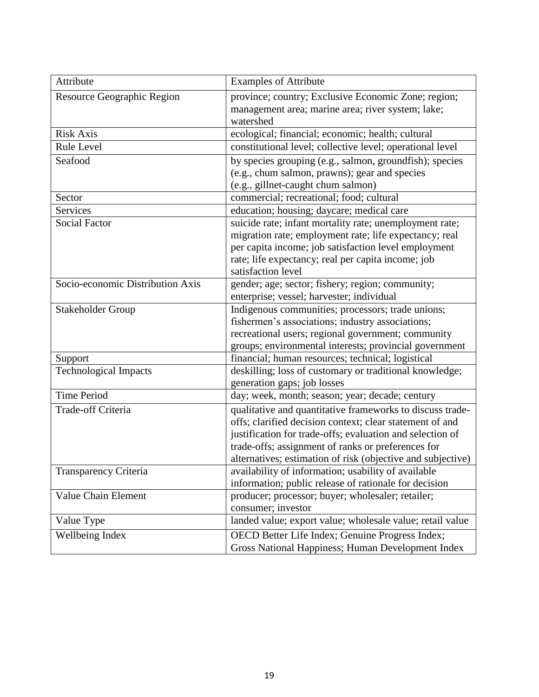| Attribute                        | <b>Examples of Attribute</b>                                |
|----------------------------------|-------------------------------------------------------------|
| Resource Geographic Region       | province; country; Exclusive Economic Zone; region;         |
|                                  | management area; marine area; river system; lake;           |
|                                  | watershed                                                   |
| <b>Risk Axis</b>                 | ecological; financial; economic; health; cultural           |
| <b>Rule Level</b>                | constitutional level; collective level; operational level   |
| Seafood                          | by species grouping (e.g., salmon, groundfish); species     |
|                                  | (e.g., chum salmon, prawns); gear and species               |
|                                  | (e.g., gillnet-caught chum salmon)                          |
| Sector                           | commercial; recreational; food; cultural                    |
| Services                         | education; housing; daycare; medical care                   |
| <b>Social Factor</b>             | suicide rate; infant mortality rate; unemployment rate;     |
|                                  | migration rate; employment rate; life expectancy; real      |
|                                  | per capita income; job satisfaction level employment        |
|                                  | rate; life expectancy; real per capita income; job          |
|                                  | satisfaction level                                          |
| Socio-economic Distribution Axis | gender; age; sector; fishery; region; community;            |
|                                  | enterprise; vessel; harvester; individual                   |
| <b>Stakeholder Group</b>         | Indigenous communities; processors; trade unions;           |
|                                  | fishermen's associations; industry associations;            |
|                                  | recreational users; regional government; community          |
|                                  | groups; environmental interests; provincial government      |
| Support                          | financial; human resources; technical; logistical           |
| <b>Technological Impacts</b>     | deskilling; loss of customary or traditional knowledge;     |
|                                  | generation gaps; job losses                                 |
| <b>Time Period</b>               | day; week, month; season; year; decade; century             |
| Trade-off Criteria               | qualitative and quantitative frameworks to discuss trade-   |
|                                  | offs; clarified decision context; clear statement of and    |
|                                  | justification for trade-offs; evaluation and selection of   |
|                                  | trade-offs; assignment of ranks or preferences for          |
|                                  | alternatives; estimation of risk (objective and subjective) |
| <b>Transparency Criteria</b>     | availability of information; usability of available         |
|                                  | information; public release of rationale for decision       |
| <b>Value Chain Element</b>       | producer; processor; buyer; wholesaler; retailer;           |
|                                  | consumer; investor                                          |
| Value Type                       | landed value; export value; wholesale value; retail value   |
| Wellbeing Index                  | OECD Better Life Index; Genuine Progress Index;             |
|                                  | Gross National Happiness; Human Development Index           |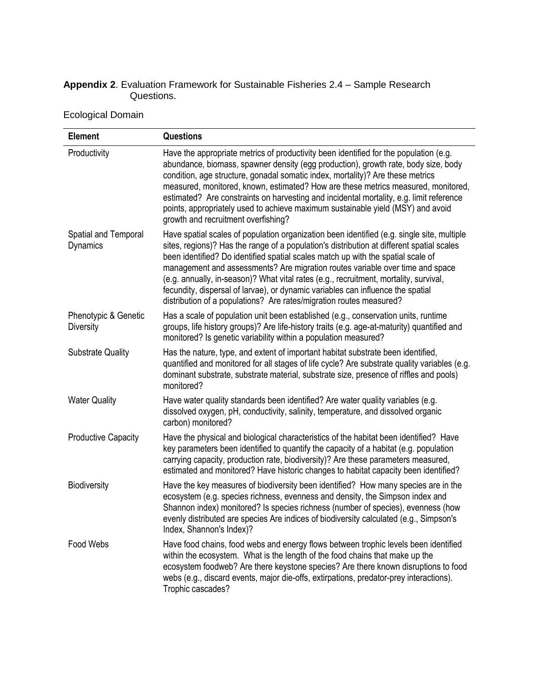# **Appendix 2**. Evaluation Framework for Sustainable Fisheries 2.4 – Sample Research Questions.

| <b>Element</b>                           | <b>Questions</b>                                                                                                                                                                                                                                                                                                                                                                                                                                                                                                                                                                                                |
|------------------------------------------|-----------------------------------------------------------------------------------------------------------------------------------------------------------------------------------------------------------------------------------------------------------------------------------------------------------------------------------------------------------------------------------------------------------------------------------------------------------------------------------------------------------------------------------------------------------------------------------------------------------------|
| Productivity                             | Have the appropriate metrics of productivity been identified for the population (e.g.<br>abundance, biomass, spawner density (egg production), growth rate, body size, body<br>condition, age structure, gonadal somatic index, mortality)? Are these metrics<br>measured, monitored, known, estimated? How are these metrics measured, monitored,<br>estimated? Are constraints on harvesting and incidental mortality, e.g. limit reference<br>points, appropriately used to achieve maximum sustainable yield (MSY) and avoid<br>growth and recruitment overfishing?                                         |
| Spatial and Temporal<br><b>Dynamics</b>  | Have spatial scales of population organization been identified (e.g. single site, multiple<br>sites, regions)? Has the range of a population's distribution at different spatial scales<br>been identified? Do identified spatial scales match up with the spatial scale of<br>management and assessments? Are migration routes variable over time and space<br>(e.g. annually, in-season)? What vital rates (e.g., recruitment, mortality, survival,<br>fecundity, dispersal of larvae), or dynamic variables can influence the spatial<br>distribution of a populations? Are rates/migration routes measured? |
| Phenotypic & Genetic<br><b>Diversity</b> | Has a scale of population unit been established (e.g., conservation units, runtime<br>groups, life history groups)? Are life-history traits (e.g. age-at-maturity) quantified and<br>monitored? Is genetic variability within a population measured?                                                                                                                                                                                                                                                                                                                                                            |
| <b>Substrate Quality</b>                 | Has the nature, type, and extent of important habitat substrate been identified,<br>quantified and monitored for all stages of life cycle? Are substrate quality variables (e.g.<br>dominant substrate, substrate material, substrate size, presence of riffles and pools)<br>monitored?                                                                                                                                                                                                                                                                                                                        |
| <b>Water Quality</b>                     | Have water quality standards been identified? Are water quality variables (e.g.<br>dissolved oxygen, pH, conductivity, salinity, temperature, and dissolved organic<br>carbon) monitored?                                                                                                                                                                                                                                                                                                                                                                                                                       |
| <b>Productive Capacity</b>               | Have the physical and biological characteristics of the habitat been identified? Have<br>key parameters been identified to quantify the capacity of a habitat (e.g. population<br>carrying capacity, production rate, biodiversity)? Are these parameters measured,<br>estimated and monitored? Have historic changes to habitat capacity been identified?                                                                                                                                                                                                                                                      |
| Biodiversity                             | Have the key measures of biodiversity been identified? How many species are in the<br>ecosystem (e.g. species richness, evenness and density, the Simpson index and<br>Shannon index) monitored? Is species richness (number of species), evenness (how<br>evenly distributed are species Are indices of biodiversity calculated (e.g., Simpson's<br>Index, Shannon's Index)?                                                                                                                                                                                                                                   |
| Food Webs                                | Have food chains, food webs and energy flows between trophic levels been identified<br>within the ecosystem. What is the length of the food chains that make up the<br>ecosystem foodweb? Are there keystone species? Are there known disruptions to food<br>webs (e.g., discard events, major die-offs, extirpations, predator-prey interactions).<br>Trophic cascades?                                                                                                                                                                                                                                        |

Ecological Domain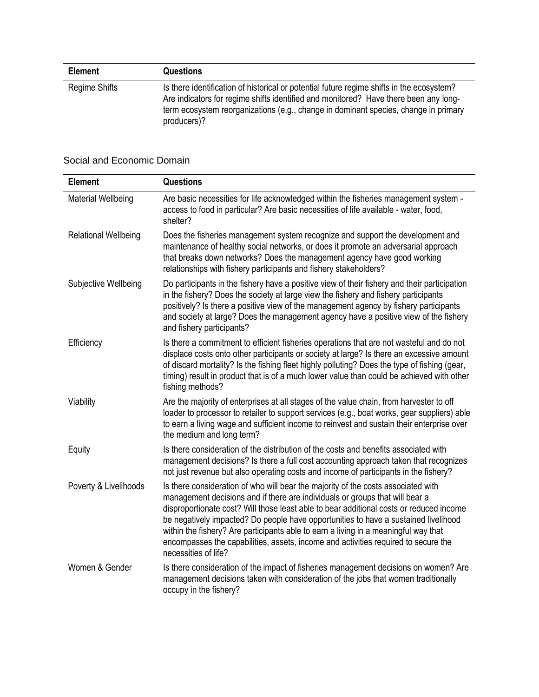| <b>Element</b> | <b>Questions</b>                                                                                                                                                                                                                                                                        |
|----------------|-----------------------------------------------------------------------------------------------------------------------------------------------------------------------------------------------------------------------------------------------------------------------------------------|
| Regime Shifts  | Is there identification of historical or potential future regime shifts in the ecosystem?<br>Are indicators for regime shifts identified and monitored? Have there been any long-<br>term ecosystem reorganizations (e.g., change in dominant species, change in primary<br>producers)? |

# Social and Economic Domain

| <b>Element</b>              | Questions                                                                                                                                                                                                                                                                                                                                                                                                                                                                                                                                                |
|-----------------------------|----------------------------------------------------------------------------------------------------------------------------------------------------------------------------------------------------------------------------------------------------------------------------------------------------------------------------------------------------------------------------------------------------------------------------------------------------------------------------------------------------------------------------------------------------------|
| <b>Material Wellbeing</b>   | Are basic necessities for life acknowledged within the fisheries management system -<br>access to food in particular? Are basic necessities of life available - water, food,<br>shelter?                                                                                                                                                                                                                                                                                                                                                                 |
| <b>Relational Wellbeing</b> | Does the fisheries management system recognize and support the development and<br>maintenance of healthy social networks, or does it promote an adversarial approach<br>that breaks down networks? Does the management agency have good working<br>relationships with fishery participants and fishery stakeholders?                                                                                                                                                                                                                                     |
| Subjective Wellbeing        | Do participants in the fishery have a positive view of their fishery and their participation<br>in the fishery? Does the society at large view the fishery and fishery participants<br>positively? Is there a positive view of the management agency by fishery participants<br>and society at large? Does the management agency have a positive view of the fishery<br>and fishery participants?                                                                                                                                                        |
| Efficiency                  | Is there a commitment to efficient fisheries operations that are not wasteful and do not<br>displace costs onto other participants or society at large? Is there an excessive amount<br>of discard mortality? Is the fishing fleet highly polluting? Does the type of fishing (gear,<br>timing) result in product that is of a much lower value than could be achieved with other<br>fishing methods?                                                                                                                                                    |
| Viability                   | Are the majority of enterprises at all stages of the value chain, from harvester to off<br>loader to processor to retailer to support services (e.g., boat works, gear suppliers) able<br>to earn a living wage and sufficient income to reinvest and sustain their enterprise over<br>the medium and long term?                                                                                                                                                                                                                                         |
| Equity                      | Is there consideration of the distribution of the costs and benefits associated with<br>management decisions? Is there a full cost accounting approach taken that recognizes<br>not just revenue but also operating costs and income of participants in the fishery?                                                                                                                                                                                                                                                                                     |
| Poverty & Livelihoods       | Is there consideration of who will bear the majority of the costs associated with<br>management decisions and if there are individuals or groups that will bear a<br>disproportionate cost? Will those least able to bear additional costs or reduced income<br>be negatively impacted? Do people have opportunities to have a sustained livelihood<br>within the fishery? Are participants able to earn a living in a meaningful way that<br>encompasses the capabilities, assets, income and activities required to secure the<br>necessities of life? |
| Women & Gender              | Is there consideration of the impact of fisheries management decisions on women? Are<br>management decisions taken with consideration of the jobs that women traditionally<br>occupy in the fishery?                                                                                                                                                                                                                                                                                                                                                     |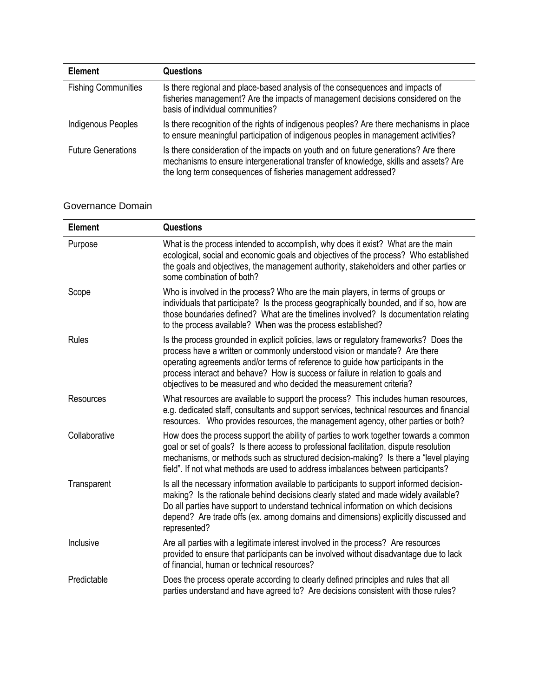| <b>Element</b>             | <b>Questions</b>                                                                                                                                                                                                                             |
|----------------------------|----------------------------------------------------------------------------------------------------------------------------------------------------------------------------------------------------------------------------------------------|
| <b>Fishing Communities</b> | Is there regional and place-based analysis of the consequences and impacts of<br>fisheries management? Are the impacts of management decisions considered on the<br>basis of individual communities?                                         |
| Indigenous Peoples         | Is there recognition of the rights of indigenous peoples? Are there mechanisms in place<br>to ensure meaningful participation of indigenous peoples in management activities?                                                                |
| <b>Future Generations</b>  | Is there consideration of the impacts on youth and on future generations? Are there<br>mechanisms to ensure intergenerational transfer of knowledge, skills and assets? Are<br>the long term consequences of fisheries management addressed? |

# Governance Domain

| <b>Element</b> | <b>Questions</b>                                                                                                                                                                                                                                                                                                                                                                                                 |
|----------------|------------------------------------------------------------------------------------------------------------------------------------------------------------------------------------------------------------------------------------------------------------------------------------------------------------------------------------------------------------------------------------------------------------------|
| Purpose        | What is the process intended to accomplish, why does it exist? What are the main<br>ecological, social and economic goals and objectives of the process? Who established<br>the goals and objectives, the management authority, stakeholders and other parties or<br>some combination of both?                                                                                                                   |
| Scope          | Who is involved in the process? Who are the main players, in terms of groups or<br>individuals that participate? Is the process geographically bounded, and if so, how are<br>those boundaries defined? What are the timelines involved? Is documentation relating<br>to the process available? When was the process established?                                                                                |
| Rules          | Is the process grounded in explicit policies, laws or regulatory frameworks? Does the<br>process have a written or commonly understood vision or mandate? Are there<br>operating agreements and/or terms of reference to guide how participants in the<br>process interact and behave? How is success or failure in relation to goals and<br>objectives to be measured and who decided the measurement criteria? |
| Resources      | What resources are available to support the process? This includes human resources,<br>e.g. dedicated staff, consultants and support services, technical resources and financial<br>resources. Who provides resources, the management agency, other parties or both?                                                                                                                                             |
| Collaborative  | How does the process support the ability of parties to work together towards a common<br>goal or set of goals? Is there access to professional facilitation, dispute resolution<br>mechanisms, or methods such as structured decision-making? Is there a "level playing<br>field". If not what methods are used to address imbalances between participants?                                                      |
| Transparent    | Is all the necessary information available to participants to support informed decision-<br>making? Is the rationale behind decisions clearly stated and made widely available?<br>Do all parties have support to understand technical information on which decisions<br>depend? Are trade offs (ex. among domains and dimensions) explicitly discussed and<br>represented?                                      |
| Inclusive      | Are all parties with a legitimate interest involved in the process? Are resources<br>provided to ensure that participants can be involved without disadvantage due to lack<br>of financial, human or technical resources?                                                                                                                                                                                        |
| Predictable    | Does the process operate according to clearly defined principles and rules that all<br>parties understand and have agreed to? Are decisions consistent with those rules?                                                                                                                                                                                                                                         |